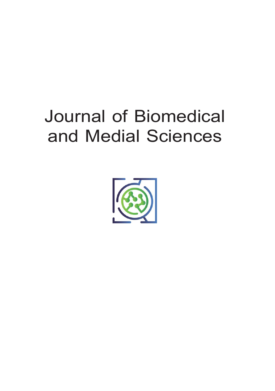# Journal of Biomedical and Medial Sciences

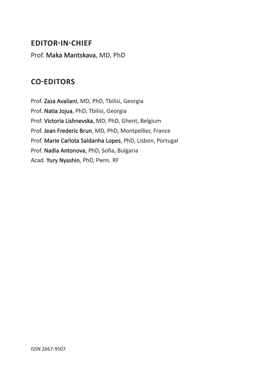## **EDITOR-IN-CHIEF**

Prof. Maka Mantskava, MD, PhD

## **CO-EDITORS**

Prof. Zaza Avaliani, MD, PhD, Tbilisi, Georgia Prof. Natia Jojua, PhD, Tbilisi, Georgia Prof. Victoria Lishnevska, MD, PhD, Ghent, Belgium Prof. Jean Frederic Brun, MD, PhD, Montpellier, France Prof. Marie Carlota Saldanha Lopes, PhD, Lisbon, Portugal Prof. Nadia Antonova, PhD, Sofia, Bulgaria Acad. Yury Nyashin, PhD, Perm, RF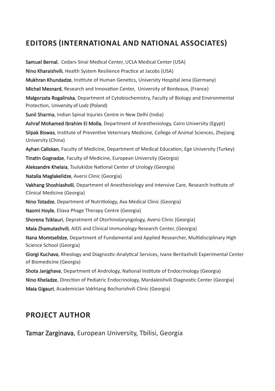## **EDITORS (INTERNATIONAL AND NATIONAL ASSOCIATES)**

Samuel Bernal, Cedars-Sinai Medical Center, UCLA Medical Center (USA) Nino Kharaishvili, Health System Resilience Practice at Jacobs (USA) Mukhran Khundadze, Institute of Human Genetics, University Hospital Jena (Germany) Michel Mesnard, Research and Innovation Center, University of Bordeaux, (France) Malgorzata Rogalinska, Department of Cytobiochemistry, Faculty of Biology and Environmental Protection, University of Lodz (Poland) Sunil Sharma, Indian Spinal Injuries Centre in New Delhi (India) Ashraf Mohamed Ibrahim El Molla, Department of Anesthesiology, Cairo University (Egypt) Silpak Biswas, Institute of Preventive Veterinary Medicine, College of Animal Sciences, Zhejiang University (China) Ayhan Caliskan, Faculty of Medicine, Department of Medical Education, Ege University (Turkey) **Tinatin Gognadze, Faculty of Medicine, European University (Georgia)** Aleksandre Khelaia, Tsulukidze National Center of Urology (Georgia) Natalia Maglakelidze, Aversi Clinic (Georgia) Vakhang Shoshiashvili, Department of Anesthesiology and Intensive Care, Research Institute of Clinical Medicine (Georgia) Nino Totadze, Department of Nutritiology, Axa Medical Clinic (Georgia) Naomi Hoyle, Eliava Phage Therapy Centre (Georgia) Shorena Tsiklauri, Depratment of Otorhinolaryngology, Aversi Clinic (Georgia) Maia Zhamutashvili, AIDS and Clinical Immunology Research Center, (Georgia) Nana Momtselidze, Department of Fundamental and Applied Researcher, Multidisciplinary High Science School (Georgia) Giorgi Kuchava, Rheology and Diagnostic-Analytical Services, Ivane Beritashvili Experimental Center of Biomedicine (Georgia) Shota Janjghava, Department of Andrology, National Institute of Endocrinology (Georgia) Nino Kheladze, Direction of Pediatric Endocrinology, Mardaleishvili Diagnostic Center (Georgia) Maia Gigauri, Academician Vakhtang Bochorishvili Clinic (Georgia)

## **PROJECT АUTHOR**

Tamar Zarginava, European University, Tbilisi, Georgia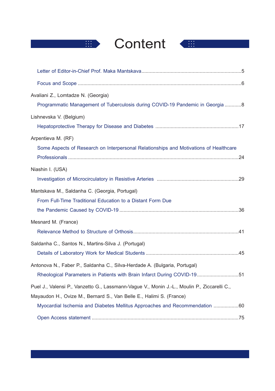## Content



| Avaliani Z., Lomtadze N. (Georgia)<br>Programmatic Management of Tuberculosis during COVID-19 Pandemic in Georgia 8                                                |
|--------------------------------------------------------------------------------------------------------------------------------------------------------------------|
| Lishnevska V. (Belgium)                                                                                                                                            |
| Arpentieva M. (RF)<br>Some Aspects of Research on Interpersonal Relationships and Motivations of Healthcare                                                        |
| Niashin I. (USA)                                                                                                                                                   |
| Mantskava M., Saldanha C. (Georgia, Portugal)<br>From Full-Time Traditional Education to a Distant Form Due                                                        |
| Mesnard M. (France)                                                                                                                                                |
| Saldanha C., Santos N., Martins-Silva J. (Portugal)                                                                                                                |
| Antonova N., Faber P., Saldanha C., Silva-Herdade A. (Bulgaria, Portugal)<br>Rheological Parameters in Patients with Brain Infarct During COVID-1951               |
| Puel J., Valensi P., Vanzetto G., Lassmann-Vague V., Monin J.-L., Moulin P., Ziccarelli C.,<br>Mayaudon H., Ovize M., Bernard S., Van Belle E., Halimi S. (France) |
| Myocardial Ischemia and Diabetes Mellitus Approaches and Recommendation 60                                                                                         |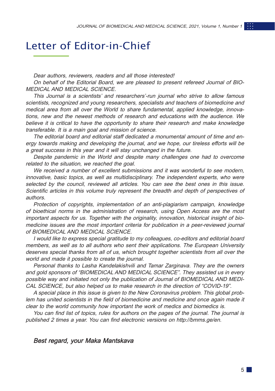## Letter of Editor-in-Chief

Dear authors, reviewers, readers and all those interested!

On behalf of the Editorial Board, we are pleased to present refereed Journal of BIO-MEDICAL AND MEDICAL SCIENCE.

This Journal is a scientists' and researchers'-run journal who strive to allow famous scientists, recognized and young researchers, specialists and teachers of biomedicine and medical area from all over the World to share fundamental, applied knowledge, innovations, new and the newest methods of research and educations with the audience. We believe it is critical to have the opportunity to share their research and make knowledge transferable. It is a main goal and mission of science.

The editorial board and editorial staff dedicated a monumental amount of time and energy towards making and developing the journal, and we hope, our tireless efforts will be a great success in this year and it will stay unchanged in the future.

Despite pandemic in the World and despite many challenges one had to overcome related to the situation, we reached the goal.

We received a number of excellent submissions and it was wonderful to see modern, innovative, basic topics, as well as multidisciplinary. The independent experts, who were selected by the council, reviewed all articles. You can see the best ones in this issue. Scientific articles in this volume truly represent the breadth and depth of perspectives of authors.

Protection of copyrights, implementation of an anti-plagiarism campaign, knowledge of bioethical norms in the administration of research, using Open Access are the most important aspects for us. Together with the originality, innovation, historical insight of biomedicine issues are the most important criteria for publication in a peer-reviewed journal of BIOMEDICAL AND MEDICAL SCIENCE.

I would like to express special gratitude to my colleagues, co-editors and editorial board members, as well as to all authors who sent their applications. The European University deserves special thanks from all of us, which brought together scientists from all over the world and made it possible to create the journal.

Personal thanks to Lasha Kandelakishvili and Tamar Zarginava. They are the owners and gold sponsors of "BIOMEDICAL AND MEDICAL SCIENCE". They assisted us in every possible way and initiated not only the publication of Journal of BIOMEDICAL AND MEDI-CAL SCIENCE, but also helped us to make research in the direction of "COVID-19".

A special place in this issue is given to the New Coronavirus problem. This global problem has united scientists in the field of biomedicine and medicine and once again made it clear to the world community how important the work of medics and biomedics is.

You can find list of topics, rules for authors on the pages of the journal. The journal is published 2 times a year. You can find electronic versions on http://bmms.ge/en.

#### Best regard, your Maka Mantskava

 $\dddot{\mathbf{z}}$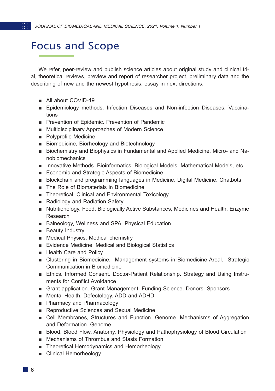## Focus and Scope

 $\mathbb{R}$ 

We refer, peer-review and publish science articles about original study and clinical trial, theoretical reviews, preview and report of researcher project, preliminary data and the describing of new and the newest hypothesis, essay in next directions.

- All about COVID-19
- Epidemiology methods. Infection Diseases and Non-infection Diseases. Vaccinations
- Prevention of Epidemic. Prevention of Pandemic
- Multidisciplinary Approaches of Modern Science
- Polyprofile Medicine
- Biomedicine, Biorheology and Biotechnology
- Biochemistry and Biophysics in Fundamental and Applied Medicine. Micro- and Nanobiomechanics
- Innovative Methods. Bioinformatics. Biological Models. Mathematical Models, etc.
- Economic and Strategic Aspects of Biomedicine
- Blockchain and programming languages in Medicine. Digital Medicine. Chatbots
- The Role of Biomaterials in Biomedicine
- Theoretical, Clinical and Environmental Toxicology
- Radiology and Radiation Safety
- Nutritionology. Food, Biologically Active Substances, Medicines and Health. Enzyme Research
- Balneology, Wellness and SPA. Physical Education
- Beauty Industry
- Medical Physics. Medical chemistry
- Evidence Medicine. Medical and Biological Statistics
- Health Care and Policy
- Clustering in Biomedicine. Management systems in Biomedicine Areal. Strategic Communication in Biomedicine
- Ethics. Informed Consent. Doctor-Patient Relationship. Strategy and Using Instruments for Conflict Avoidance
- Grant application. Grant Management. Funding Science. Donors. Sponsors
- Mental Health. Defectology. ADD and ADHD
- Pharmacy and Pharmacology
- Reproductive Sciences and Sexual Medicine
- Cell Membranes, Structures and Function. Genome. Mechanisms of Aggregation and Deformation. Genome
- Blood, Blood Flow. Anatomy, Physiology and Pathophysiology of Blood Circulation
- Mechanisms of Thrombus and Stasis Formation
- Theoretical Hemodynamics and Hemorheology
- Clinical Hemorheology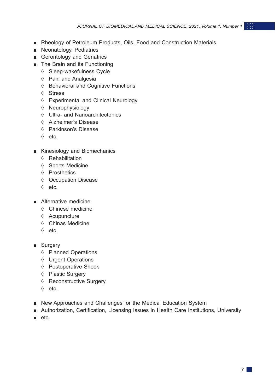- Rheology of Petroleum Products, Oils, Food and Construction Materials
- Neonatology. Pediatrics
- Gerontology and Geriatrics
- The Brain and its Functioning
	- ♦ Sleep-wakefulness Cycle
	- ♦ Pain and Analgesia
	- $\Diamond$  Behavioral and Cognitive Functions
	- ♦ Stress
	- Experimental and Clinical Neurology
	- $\Diamond$  Neurophysiology
	- Ultra- and Nanoarchitectonics
	- Alzheimer's Disease
	- Parkinson's Disease
	- $\Diamond$  etc.
- Kinesiology and Biomechanics
	- $\Diamond$  Rehabilitation
	- $\diamond$  Sports Medicine
	- ♦ Prosthetics
	- ♦ Occupation Disease
	- ♦ etc.
- Alternative medicine
	- Chinese medicine
	- $\Diamond$  Acupuncture
	- Chinas Medicine
	- $\Diamond$  etc.
- Surgery
	- ♦ Planned Operations
	- ♦ Urgent Operations
	- ♦ Postoperative Shock
	- ♦ Plastic Surgery
	- ♦ Reconstructive Surgery
	- $\Diamond$  etc.
- New Approaches and Challenges for the Medical Education System
- Authorization, Certification, Licensing Issues in Health Care Institutions, University
- etc.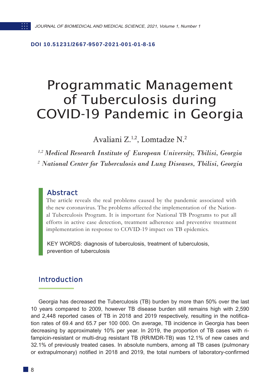DOI 10.51231/2667-9507-2021-001-01-8-16

## Programmatic Management of Tuberculosis during COVID-19 Pandemic in Georgia

Avaliani Z.1,2, Lomtadze N.2

*1,2 Medical Research Institute of European University, Tbilisi, Georgia 2 National Center for Tuberculosis and Lung Diseases, Tbilisi, Georgia*

#### Abstract

The article reveals the real problems caused by the pandemic associated with the new coronavirus. The problems affected the implementation of the National Tuberculosis Program. It is important for National TB Programs to put all efforts in active case detection, treatment adherence and preventive treatment implementation in response to COVID-19 impact on TB epidemics.

 KEY WORDS: diagnosis of tuberculosis, treatment of tuberculosis, prevention of tuberculosis

#### Introduction

Georgia has decreased the Tuberculosis (TB) burden by more than 50% over the last 10 years compared to 2009, however TB disease burden still remains high with 2,590 and 2,448 reported cases of TB in 2018 and 2019 respectively, resulting in the notification rates of 69.4 and 65.7 per 100 000. On average, TB incidence in Georgia has been decreasing by approximately 10% per year. In 2019, the proportion of TB cases with rifampicin-resistant or multi-drug resistant TB (RR/MDR-TB) was 12.1% of new cases and 32.1% of previously treated cases. In absolute numbers, among all TB cases (pulmonary or extrapulmonary) notified in 2018 and 2019, the total numbers of laboratory-confirmed

 $\dddot{\mathbf{z}}$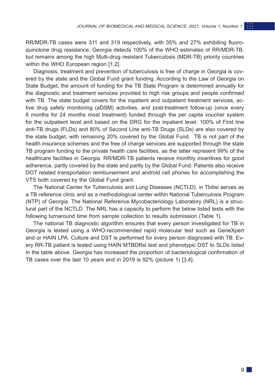RR/MDR-TB cases were 311 and 319 respectively, with 35% and 27% exhibiting fluoroquinolone drug resistance. Georgia detects 100% of the WHO estimates of RR/MDR-TB, but remains among the high Multi-drug resistant Tuberculosis (MDR-TB) priority countries within the WHO European region [1,2].

Diagnosis, treatment and prevention of tuberculosis is free of charge in Georgia is covered by the state and the Global Fund grant funding. According to the Law of Georgia on State Budget, the amount of funding for the TB State Program is determined annually for the diagnostic and treatment services provided to high risk groups and people confirmed with TB. The state budget covers for the inpatient and outpatient treatment services, active drug safety monitoring (aDSM) activities, and post-treatment follow-up (once every 6 months for 24 months most treatment) funded through the per capita voucher system for the outpatient level and based on the DRG for the inpatient level. 100% of First line anti-TB drugs (FLDs) and 80% of Second Line anti-TB Drugs (SLDs) are also covered by the state budget, with remaining 20% covered by the Global Fund. TB is not part of the health insurance schemes and the free of charge services are supported through the state TB program funding to the private health care facilities, as the latter represent 99% of the healthcare facilities in Georgia. RR/MDR-TB patients receive monthly incentives for good adherence, partly covered by the state and partly by the Global Fund. Patients also receive DOT related transportation reimbursement and android cell phones for accomplishing the VTS both covered by the Global Fund grant.

The National Center for Tuberculosis and Lung Diseases (NCTLD), in Tbilisi serves as a TB reference clinic and as a methodological center within National Tuberculosis Program (NTP) of Georgia. The National Reference Mycobacteriology Laboratory (NRL) is a structural part of the NCTLD. The NRL has a capacity to perform the below listed tests with the following turnaround time from sample collection to results submission (Table 1).

The national TB diagnostic algorithm ensures that every person investigated for TB in Georgia is tested using a WHO-recommended rapid molecular test such as GeneXpert and or HAIN LPA. Culture and DST is performed for every person diagnosed with TB. Every RR-TB patient is tested using HAIN MTBDRsl test and phenotypic DST to SLDs listed in the table above. Georgia has increased the proportion of bacteriological confirmation of TB cases over the last 10 years and in 2019 is 92% (picture 1) [3,4].

33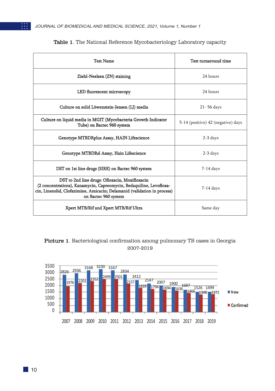| <b>Test Name</b>                                                                                                                                                                                                          | Test turnaround time               |
|---------------------------------------------------------------------------------------------------------------------------------------------------------------------------------------------------------------------------|------------------------------------|
| Ziehl-Neelsen (ZN) staining                                                                                                                                                                                               | 24 hours                           |
| LED fluorescent microscopy                                                                                                                                                                                                | 24 hours                           |
| Culture on solid Löwenstein-Jensen (LJ) media                                                                                                                                                                             | $21 - 56$ days                     |
| Culture on liquid media in MGIT (Mycobacteria Growth Indicator<br>Tube) on Bactec 960 system                                                                                                                              | 5-14 (positive) 42 (negative) days |
| Genotype MTBDRplus Assay, HAIN Lifescience                                                                                                                                                                                | $2-3$ days                         |
| Genotype MTBDRsl Assay, Hain Lifescience                                                                                                                                                                                  | $2-3$ days                         |
| DST on 1st line drugs (SIRE) on Bactec 960 system                                                                                                                                                                         | $7-14$ days                        |
| DST to 2nd line drugs: Ofloxacin, Moxifloxacin<br>(2 concentrations), Kanamycin, Capreomycin, Bedaquiline, Levofloxa-<br>cin, Linezolid, Clofazimine, Amicacin; Delamanid (validation in process)<br>on Bactec 960 system | $7-14$ days                        |
| Xpert MTB/Rif and Xpert MTB/Rif Ultra                                                                                                                                                                                     | Same day                           |

#### Table 1. The National Reference Mycobacteriology Laboratory capacity

Picture 1. Bacteriological confirmation among pulmonary TB cases in Georgia 2007-2019

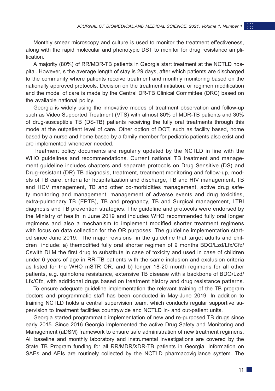Monthly smear microscopy and culture is used to monitor the treatment effectiveness, along with the rapid molecular and phenotypic DST to monitor for drug resistance amplification.

A majority (80%) of RR/MDR-TB patients in Georgia start treatment at the NCTLD hospital. However, s the average length of stay is 29 days, after which patients are discharged to the community where patients receive treatment and monthly monitoring based on the nationally approved protocols. Decision on the treatment initiation, or regimen modification and the model of care is made by the Central DR-TB Clinical Committee (DRC) based on the available national policy.

Georgia is widely using the innovative modes of treatment observation and follow-up such as Video Supported Treatment (VTS) with almost 80% of MDR-TB patients and 30% of drug-susceptible TB (DS-TB) patients receiving the fully oral treatments through this mode at the outpatient level of care. Other option of DOT, such as facility based, home based by a nurse and home based by a family member for pediatric patients also exist and are implemented whenever needed.

Treatment policy documents are regularly updated by the NCTLD in line with the WHO guidelines and recommendations. Current national TB treatment and management guideline includes chapters and separate protocols on Drug Sensitive (DS) and Drug-resistant (DR) TB diagnosis, treatment, treatment monitoring and follow-up, models of TB care, criteria for hospitalization and discharge, TB and HIV management, TB and HCV management, TB and other co-morbidities management, active drug safety monitoring and management, management of adverse events and drug toxicities, extra-pulmonary TB (EPTB), TB and pregnancy, TB and Surgical management, LTBI diagnosis and TB prevention strategies. The guideline and protocols were endorsed by the Ministry of health in June 2019 and includes WHO recommended fully oral longer regimens and also a mechanism to implement modified shorter treatment regimens with focus on data collection for the OR purposes. The guideline implementation started since June 2019. The major revisions in the guideline that target adults and children include: a) themodified fully oral shorter regimen of 9 months BDQ/Lzd/Lfx/Cfz/ Cswith DLM the first drug to substitute in case of toxicity and used in case of children under 6 years of age in RR-TB patients with the same inclusion and exclusion criteria as listed for the WHO mSTR OR, and b) longer 18-20 month regimens for all other patients, e.g. quinolone resistance, extensive TB disease with a backbone of BDQ/Lzd/ Lfx/Cfz, with additional drugs based on treatment history and drug resistance patterns.

To ensure adequate guideline implementation the relevant training of the TB program doctors and programmatic staff has been conducted in May-June 2019. In addition to training NCTLD holds a central supervision team, which conducts regular supportive supervision to treatment facilities countrywide and NCTLD in- and out-patient units.

Georgia started programmatic implementation of new and re-purposed TB drugs since early 2015. Since 2016 Georgia implemented the active Drug Safety and Monitoring and Management (aDSM) framework to ensure safe administration of new treatment regimens. All baseline and monthly laboratory and instrumental investigations are covered by the State TB Program funding for all RR/MDR/XDR-TB patients in Georgia. Information on SAEs and AEIs are routinely collected by the NCTLD pharmacovigilance system. The

33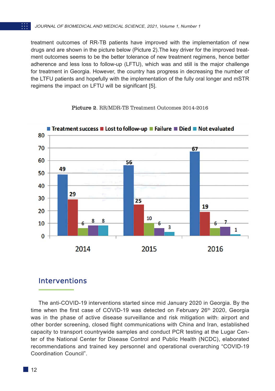treatment outcomes of RR-TB patients have improved with the implementation of new drugs and are shown in the picture below (Picture 2).The key driver for the improved treatment outcomes seems to be the better tolerance of new treatment regimens, hence better adherence and less loss to follow-up (LFTU), which was and still is the major challenge for treatment in Georgia. However, the country has progress in decreasing the number of the LTFU patients and hopefully with the implementation of the fully oral longer and mSTR regimens the impact on LFTU will be significant [5].



Picture 2. RR/MDR-TB Treatment Outcomes 2014-2016

#### Interventions

The anti-COVID-19 interventions started since mid January 2020 in Georgia. By the time when the first case of COVID-19 was detected on February 26<sup>th</sup> 2020, Georgia was in the phase of active disease surveillance and risk mitigation with: airport and other border screening, closed flight communications with China and Iran, established capacity to transport countrywide samples and conduct PCR testing at the Lugar Center of the National Center for Disease Control and Public Health (NCDC), elaborated recommendations and trained key personnel and operational overarching "COVID-19 Coordination Council".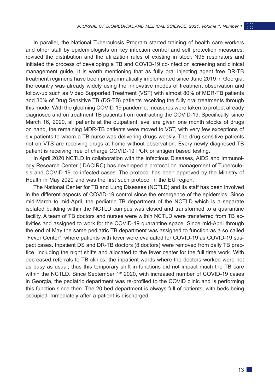In parallel, the National Tuberculosis Program started training of health care workers and other staff by epidemiologists on key infection control and self protection measures, revised the distribution and the utilization rules of existing in stock N95 respirators and initiated the process of developing a TB and COVID-19 co-infection screening and clinical management guide. It is worth mentioning that as fully oral injecting agent free DR-TB treatment regimens have been programmatically implemented since June 2019 in Georgia, the country was already widely using the innovative modes of treatment observation and follow-up such as Video Supported Treatment (VST) with almost 80% of MDR-TB patients and 30% of Drug Sensitive TB (DS-TB) patients receiving the fully oral treatments through this mode. With the glooming COVID-19 pandemic, measures were taken to protect already diagnosed and on treatment TB patients from contracting the COVID-19. Specifically, since March 16, 2020, all patients at the outpatient level are given one month stocks of drugs on hand; the remaining MDR-TB patients were moved to VST, with very few exceptions of six patients to whom a TB nurse was delivering drugs weekly. The drug sensitive patients not on VTS are receiving drugs at home without observation. Every newly diagnosed TB patient is receiving free of charge COVID-19 PCR or antigen based testing.

In April 2020 NCTLD in collaboration with the Infectious Diseases, AIDS and Immunology Research Center (IDACIRC) has developed a protocol on management of Tuberculosis and COVID-19 co-infected cases. The protocol has been approved by the Ministry of Health in May 2020 and was the first such protocol in the EU region.

The National Center for TB and Lung Diseases (NCTLD) and its staff has been involved in the different aspects of COVID-19 control since the emergence of the epidemics. Since mid-March to mid-April, the pediatric TB department of the NCTLD which is a separate isolated building within the NCTLD campus was closed and transformed to a quarantine facility. A team of TB doctors and nurses were within NCTLD were transferred from TB activities and assigned to work for the COVID-19 quarantine space. Since mid-April through the end of May the same pediatric TB department was assigned to function as a so called "Fever Center", where patients with fever were evaluated for COVID-19 as COVID-19 suspect cases. Inpatient DS and DR-TB doctors (8 doctors) were removed from daily TB practice, including the night shifts and allocated to the fever center for the full time work. With decreased referrals to TB clinics, the inpatient wards where the doctors worked were not as busy as usual, thus this temporary shift in functions did not impact much the TB care within the NCTLD. Since September 1<sup>st</sup> 2020, with increased number of COVID-19 cases in Georgia, the pediatric department was re-profiled to the COVID clinic and is performing this function since then. The 20 bed department is always full of patients, with beds being occupied immediately after a patient is discharged.

33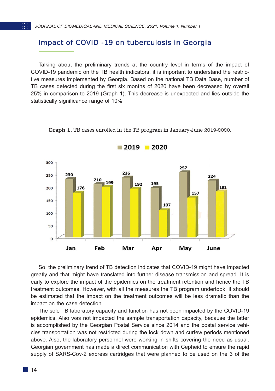## Impact of COVID -19 on tuberculosis in Georgia

Talking about the preliminary trends at the country level in terms of the impact of COVID-19 pandemic on the TB health indicators, it is important to understand the restrictive measures implemented by Georgia. Based on the national TB Data Base, number of TB cases detected during the first six months of 2020 have been decreased by overall 25% in comparison to 2019 (Graph 1). This decrease is unexpected and lies outside the statistically significance range of 10%.



Graph 1. TB cases enrolled in the TB program in January-June 2019-2020.

So, the preliminary trend of TB detection indicates that COVID-19 might have impacted greatly and that might have translated into further disease transmission and spread. It is early to explore the impact of the epidemics on the treatment retention and hence the TB treatment outcomes. However, with all the measures the TB program undertook, it should be estimated that the impact on the treatment outcomes will be less dramatic than the impact on the case detection.

The sole TB laboratory capacity and function has not been impacted by the COVID-19 epidemics. Also was not impacted the sample transportation capacity, because the latter is accomplished by the Georgian Postal Service since 2014 and the postal service vehicles transportation was not restricted during the lock down and curfew periods mentioned above. Also, the laboratory personnel were working in shifts covering the need as usual. Georgian government has made a direct communication with Cepheid to ensure the rapid supply of SARS-Cov-2 express cartridges that were planned to be used on the 3 of the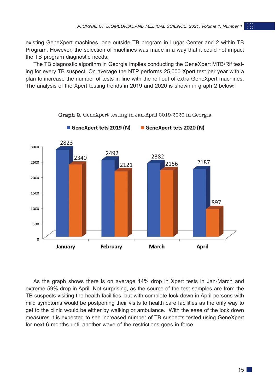existing GeneXpert machines, one outside TB program in Lugar Center and 2 within TB Program. However, the selection of machines was made in a way that it could not impact the TB program diagnostic needs.

The TB diagnostic algorithm in Georgia implies conducting the GeneXpert MTB/Rif testing for every TB suspect. On average the NTP performs 25,000 Xpert test per year with a plan to increase the number of tests in line with the roll out of extra GeneXpert machines. The analysis of the Xpert testing trends in 2019 and 2020 is shown in graph 2 below:



Graph 2. GeneXpert testing in Jan-April 2019-2020 in Georgia

As the graph shows there is on average 14% drop in Xpert tests in Jan-March and extreme 59% drop in April. Not surprising, as the source of the test samples are from the TB suspects visiting the health facilities, but with complete lock down in April persons with mild symptoms would be postponing their visits to health care facilities as the only way to get to the clinic would be either by walking or ambulance. With the ease of the lock down measures it is expected to see increased number of TB suspects tested using GeneXpert for next 6 months until another wave of the restrictions goes in force.

 $\frac{1}{2}$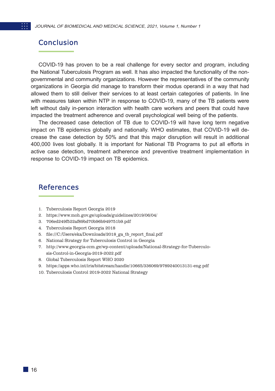### Conclusion

COVID-19 has proven to be a real challenge for every sector and program, including the National Tuberculosis Program as well. It has also impacted the functionality of the nongovernmental and community organizations. However the representatives of the community organizations in Georgia did manage to transform their modus operandi in a way that had allowed them to still deliver their services to at least certain categories of patients. In line with measures taken within NTP in response to COVID-19, many of the TB patients were left without daily in-person interaction with health care workers and peers that could have impacted the treatment adherence and overall psychological well being of the patients.

The decreased case detection of TB due to COVID-19 will have long term negative impact on TB epidemics globally and nationally. WHO estimates, that COVID-19 will decrease the case detection by 50% and that this major disruption will result in additional 400,000 lives lost globally. It is important for National TB Programs to put all efforts in active case detection, treatment adherence and preventive treatment implementation in response to COVID-19 impact on TB epidemics.

#### References

- 1. Tuberculosis Report Georgia 2019
- 2. https://www.moh.gov.ge/uploads/guidelines/2019/06/04/
- 3. 706ed249f522af89bd70b96b949751b9.pdf
- 4. Tuberculosis Report Georgia 2018
- 5. file:///C:/Users/eka/Downloads/2018 ga tb report final.pdf
- 6. National Strategy for Tuberculosis Control in Georgia
- 7. http://www.georgia-ccm.ge/wp-content/uploads/National-Strategy-for-Tuberculosis-Control-in-Georgia-2019-2022.pdf
- 8. Global Tuberculosis Report WHO 2020
- 9. https://apps.who.int/iris/bitstream/handle/10665/336069/9789240013131-eng.pdf
- 10. Tuberculosis Control 2019-2022 National Strategy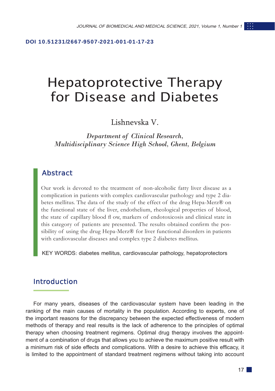#### DOI 10.51231/2667-9507-2021-001-01-17-23

## Hepatoprotective Therapy for Disease and Diabetes

Lishnevska V.

*Department of Clinical Research, Multidisciplinary Science High School, Ghent, Belgium*

#### Abstract

Our work is devoted to the treatment of non-alcoholic fatty liver disease as a complication in patients with complex cardiovascular pathology and type 2 diabetes mellitus. The data of the study of the effect of the drug Hepa-Merz® on the functional state of the liver, endothelium, rheological properties of blood, the state of capillary blood fl ow, markers of endotoxicosis and clinical state in this category of patients are presented. The results obtained confirm the possibility of using the drug Hepa-Merz® for liver functional disorders in patients with cardiovascular diseases and complex type 2 diabetes mellitus.

KEY WORDS: diabetes mellitus, cardiovascular pathology, hepatoprotectors

#### Introduction

For many years, diseases of the cardiovascular system have been leading in the ranking of the main causes of mortality in the population. According to experts, one of the important reasons for the discrepancy between the expected effectiveness of modern methods of therapy and real results is the lack of adherence to the principles of optimal therapy when choosing treatment regimens. Optimal drug therapy involves the appointment of a combination of drugs that allows you to achieve the maximum positive result with a minimum risk of side effects and complications. With a desire to achieve this efficacy, it is limited to the appointment of standard treatment regimens without taking into account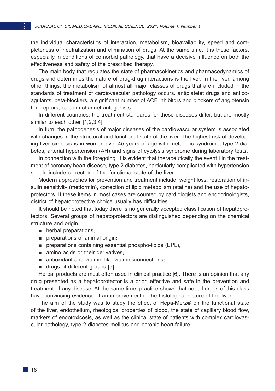the individual characteristics of interaction, metabolism, bioavailability, speed and completeness of neutralization and elimination of drugs. At the same time, it is these factors, especially in conditions of comorbid pathology, that have a decisive influence on both the effectiveness and safety of the prescribed therapy.

The main body that regulates the state of pharmacokinetics and pharmacodynamics of drugs and determines the nature of drug-drug interactions is the liver. In the liver, among other things, the metabolism of almost all major classes of drugs that are included in the standards of treatment of cardiovascular pathology occurs: antiplatelet drugs and anticoagulants, beta-blockers, a significant number of ACE inhibitors and blockers of angiotensin II receptors, calcium channel antagonists.

In different countries, the treatment standards for these diseases differ, but are mostly similar to each other [1,2,3,4].

In turn, the pathogenesis of major diseases of the cardiovascular system is associated with changes in the structural and functional state of the liver. The highest risk of developing liver cirrhosis is in women over 45 years of age with metabolic syndrome, type 2 diabetes, arterial hypertension (AH) and signs of cytolysis syndrome during laboratory tests.

In connection with the foregoing, it is evident that therapeutically the event I in the treatment of coronary heart disease, type 2 diabetes, particularly complicated with hypertension should include correction of the functional state of the liver.

Modern approaches for prevention and treatment include: weight loss, restoration of insulin sensitivity (metformin), correction of lipid metabolism (statins) and the use of hepatoprotectors. If these items in most cases are counted by cardiologists and endocrinologists, district of hepatoprotective choice usually has difficulties.

It should be noted that today there is no generally accepted classification of hepatoprotectors. Several groups of hepatoprotectors are distinguished depending on the chemical structure and origin:

- herbal preparations;
- preparations of animal origin;
- preparations containing essential phospho-lipids (EPL);
- amino acids or their derivatives;
- antioxidant and vitamin-like vitaminsconnections;
- drugs of different groups [5].

Herbal products are most often used in clinical practice [6]. There is an opinion that any drug presented as a hepatoprotector is a priori effective and safe in the prevention and treatment of any disease. At the same time, practice shows that not all drugs of this class have convincing evidence of an improvement in the histological picture of the liver.

The aim of the study was to study the effect of Hepa-Merz® on the functional state of the liver, endothelium, rheological properties of blood, the state of capillary blood flow, markers of endotoxicosis, as well as the clinical state of patients with complex cardiovascular pathology, type 2 diabetes mellitus and chronic heart failure.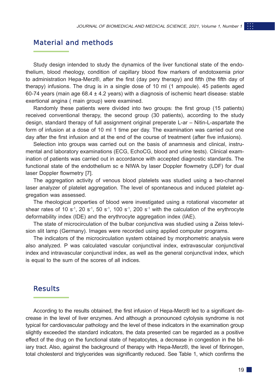#### Material and methods

Study design intended to study the dynamics of the liver functional state of the endothelium, blood rheology, condition of capillary blood flow markers of endotoxemia prior to administration Hepa-Merz®, after the first (day pery therapy) and fifth (the fifth day of therapy) infusions. The drug is in a single dose of 10 ml (1 ampoule). 45 patients aged 60-74 years (main age  $68.4 \pm 4.2$  years) with a diagnosis of ischemic heart disease: stable exertional angina ( main group) were examined.

Randomly these patients were divided into two groups: the first group (15 patients) received conventional therapy, the second group (30 patients), according to the study design, standard therapy of full assignment original preperate L-ar – Nitin-L-aspartate the form of infusion at a dose of 10 ml 1 time per day. The examination was carried out one day after the first infusion and at the end of the course of treatment (after five infusions).

Selection into groups was carried out on the basis of anamnesis and clinical, instrumental and laboratory examinations (ECG, EchoCG, blood and urine tests). Clinical examination of patients was carried out in accordance with accepted diagnostic standards. The functional state of the endothelium sc e NIWA by laser Doppler flowmetry (LDF) for dual laser Doppler flowmetry [7].

The aggregation activity of venous blood platelets was studied using a two-channel laser analyzer of platelet aggregation. The level of spontaneous and induced platelet aggregation was assessed.

The rheological properties of blood were investigated using a rotational viscometer at shear rates of 10 s<sup>-1</sup>, 20 s<sup>-1</sup>, 50 s<sup>-1</sup>, 100 s<sup>-1</sup>, 200 s<sup>-1</sup> with the calculation of the erythrocyte deformability index (IDE) and the erythrocyte aggregation index (IAE).

The state of microcirculation of the bulbar conjunctiva was studied using a Zeiss television slit lamp (Germany). Images were recorded using applied computer programs.

The indicators of the microcirculation system obtained by morphometric analysis were also analyzed. P was calculated vascular conjunctival index, extravascular conjunctival index and intravascular conjunctival index, as well as the general conjunctival index, which is equal to the sum of the scores of all indices.

#### **Results**

According to the results obtained, the first infusion of Hepa-Merz® led to a significant decrease in the level of liver enzymes. And although a pronounced cytolysis syndrome is not typical for cardiovascular pathology and the level of these indicators in the examination group slightly exceeded the standard indicators, the data presented can be regarded as a positive effect of the drug on the functional state of hepatocytes, a decrease in congestion in the biliary tract. Also, against the background of therapy with Hepa-Merz®, the level of fibrinogen, total cholesterol and triglycerides was significantly reduced. See Table 1, which confirms the

 $\dddot{\mathbf{z}}$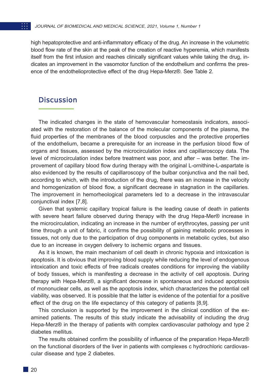high hepatoprotective and anti-inflammatory efficacy of the drug. An increase in the volumetric blood flow rate of the skin at the peak of the creation of reactive hyperemia, which manifests itself from the first infusion and reaches clinically significant values while taking the drug, indicates an improvement in the vasomotor function of the endothelium and confirms the presence of the endothelioprotective effect of the drug Hepa-Merz®. See Table 2.

### Discussion

The indicated changes in the state of hemovascular homeostasis indicators, associated with the restoration of the balance of the molecular components of the plasma, the fluid properties of the membranes of the blood corpuscles and the protective properties of the endothelium, became a prerequisite for an increase in the perfusion blood flow of organs and tissues, assessed by the microcirculation index and capillaroscopy data. The level of microcirculation index before treatment was poor, and after – was better. The improvement of capillary blood flow during therapy with the original L-ornithine-L-aspartate is also evidenced by the results of capillaroscopy of the bulbar conjunctiva and the nail bed, according to which, with the introduction of the drug, there was an increase in the velocity and homogenization of blood flow, a significant decrease in stagnation in the capillaries. The improvement in hemorheological parameters led to a decrease in the intravascular conjunctival index [7,8].

Given that systemic capillary tropical failure is the leading cause of death in patients with severe heart failure observed during therapy with the drug Hepa-Mer<sup>®</sup> increase in the microcirculation, indicating an increase in the number of erythrocytes, passing per unit time through a unit of fabric, it confirms the possibility of gaining metabolic processes in tissues, not only due to the participation of drug components in metabolic cycles, but also due to an increase in oxygen delivery to ischemic organs and tissues.

As it is known, the main mechanism of cell death in chronic hypoxia and intoxication is apoptosis. It is obvious that improving blood supply while reducing the level of endogenous intoxication and toxic effects of free radicals creates conditions for improving the viability of body tissues, which is manifesting a decrease in the activity of cell apoptosis. During therapy with Hepa-Merz®, a significant decrease in spontaneous and induced apoptosis of mononuclear cells, as well as the apoptosis index, which characterizes the potential cell viability, was observed. It is possible that the latter is evidence of the potential for a positive effect of the drug on the life expectancy of this category of patients [8,9].

This conclusion is supported by the improvement in the clinical condition of the examined patients. The results of this study indicate the advisability of including the drug Hepa-Merz® in the therapy of patients with complex cardiovascular pathology and type 2 diabetes mellitus.

The results obtained confirm the possibility of influence of the preparation Hepa-Merz® on the functional disorders of the liver in patients with complexes c hydrochloric cardiovascular disease and type 2 diabetes.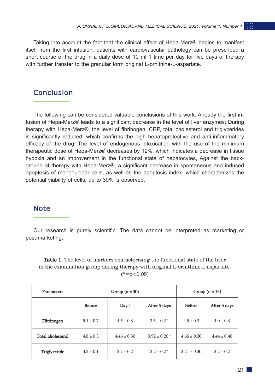Taking into account the fact that the clinical effect of Hepa-Merz® begins to manifest itself from the first infusion, patients with cardiovascular pathology can be prescribed a short course of the drug in a daily dose of 10 ml 1 time per day for five days of therapy with further transfer to the granular form original L-ornithine-L-aspartate.

#### Conclusion

The following can be considered valuable conclusions of this work. Already the first infusion of Hepa-Merz® leads to a significant decrease in the level of liver enzymes; During therapy with Hepa-Merz®, the level of fibrinogen, CRP, total cholesterol and triglycerides is significantly reduced, which confirms the high hepatoprotective and anti-inflammatory efficacy of the drug; The level of endogenous intoxication with the use of the minimum therapeutic dose of Hepa-Merz® decreases by 12%, which indicates a decrease in tissue hypoxia and an improvement in the functional state of hepatocytes; Against the background of therapy with Hepa-Merz®, a significant decrease in spontaneous and induced apoptosis of mononuclear cells, as well as the apoptosis index, which characterizes the potential viability of cells, up to 30% is observed.

#### Note

Our research is purely scientific. The data cannot be interpreted as marketing or post-marketing.

Table 1. The level of markers characterizing the functional state of the liver in the examination group during therapy with original L-ornithine-L-aspartate.  $(*=p<0.05)$ 

| <b>Parameters</b> | Group $(n = 30)$ |                 |                   | Group $(n = 15)$ |                 |
|-------------------|------------------|-----------------|-------------------|------------------|-----------------|
|                   | <b>Before</b>    | Day 1           | After 5 days      | <b>Before</b>    | After 5 days    |
| Fibrinogen        | $5.1 \pm 0.7$    | $4.5 \pm 0.3$   | $3.5 \pm 0.2$ *   | $4.5 \pm 0.3$    | $4.0 \pm 0.3$   |
| Total cholesterol | $4.8 \pm 0.3$    | $4.46 \pm 0.30$ | $3.92 \pm 0.20$ * | $4.66 \pm 0.30$  | $4.44 \pm 0.40$ |
| Triglyceride      | $3.2 \pm 0.1$    | $2.7 \pm 0.2$   | $2.2 \pm 0.2$ *   | $3.21 \pm 0.30$  | $3.2 \pm 0.2$   |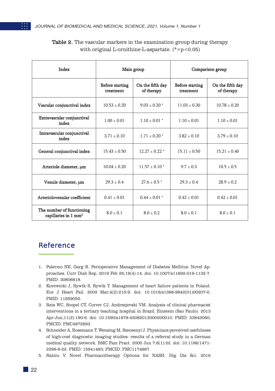| Index                                                         | Main group                          |                                | Comparison group                    |                                |
|---------------------------------------------------------------|-------------------------------------|--------------------------------|-------------------------------------|--------------------------------|
|                                                               | <b>Before starting</b><br>treatment | On the fifth day<br>of therapy | <b>Before starting</b><br>treatment | On the fifth day<br>of therapy |
| Vascular conjunctival index                                   | $10.53 \pm 0.20$                    | $9.03 \pm 0.20$ *              | $11.03 \pm 0.30$                    | $10.78 \pm 0.20$               |
| Extravascular conjunctival<br>index                           | $1.00 \pm 0.01$                     | $1.10 \pm 0.01$ *              | $1.10 \pm 0.01$                     | $1.10 \pm 0.01$                |
| Intravascular conjunctival<br>index                           | $3.71 \pm 0.10$                     | $1.71 \pm 0.20$ *              | $3.82 \pm 0.10$                     | $3.79 \pm 0.10$                |
| General conjunctival index                                    | $15.43 + 0.50$                      | $12.27 + 0.22$ *               | $15.11 \pm 0.50$                    | $15.21 + 0.40$                 |
| Arteriole diameter, um                                        | $10.04 \pm 0.20$                    | $11.57 \pm 0.10$ *             | $9.7 \pm 0.3$                       | $10.5 \pm 0.5$                 |
| Venule diameter, um                                           | $29.3 \pm 0.4$                      | $27.6 \pm 0.5$ *               | $29.3 \pm 0.4$                      | $28.9 \pm 0.2$                 |
| Arteriolovenular coefficient                                  | $0.41 \pm 0.01$                     | $0.44 \pm 0.01$ *              | $0.42 \pm 0.01$                     | $0.42 \pm 0.01$                |
| The number of functioning<br>capillaries in 1 mm <sup>2</sup> | $8.0 \pm 0.1$                       | $8.0 \pm 0.2$                  | $8.0 \pm 0.1$                       | $8.0 \pm 0.1$                  |

Table 2. The vascular markers in the examination group during therapy with original L-ornithine-L-aspartate.  $(*=p<0.05)$ 

### Reference

- 1. Palermo NE, Garg R. Perioperative Management of Diabetes Mellitus: Novel Approaches. Curr Diab Rep. 2019 Feb 26;19(4):14. doi: 10.1007/s11892-019-1132-7. PMID: 30806818.
- 2. Korewicki J, Rywik S, Rywik T. Management of heart failure patients in Poland. Eur J Heart Fail. 2002 Mar;4(2):215-9. doi: 10.1016/s1388-9842(01)00207-0. PMID: 11959052.
- 3. Reis WC, Scopel CT, Correr CJ, Andrzejevski VM. Analysis of clinical pharmacist interventions in a tertiary teaching hospital in Brazil. Einstein (Sao Paulo). 2013 Apr-Jun;11(2):190-6. doi: 10.1590/s1679-45082013000200010. PMID: 23843060; PMCID: PMC4872893.
- 4. Schneider A, Rosemann T, Wensing M, Szecsenyi J. Physicians perceived usefulness of high-cost diagnostic imaging studies: results of a referral study in a German medical quality network. BMC Fam Pract. 2005 Jun 7;6(1):22. doi: 10.1186/1471- 2296-6-22. PMID: 15941483; PMCID: PMC1174867.
- 5. Ratziu V. Novel Pharmacotherapy Options for NASH. Dig Dis Sci. 2016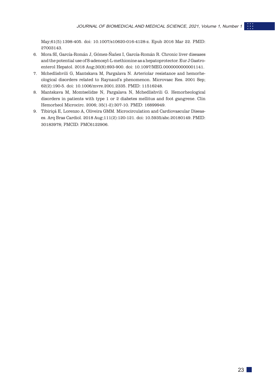May;61(5):1398-405. doi: 10.1007/s10620-016-4128-z. Epub 2016 Mar 22. PMID: 27003143.

- 6. Mora SI, García-Román J, Gómez-Ñañez I, García-Román R. Chronic liver diseases and the potential use of S-adenosyl-L-methionine as a hepatoprotector. Eur J Gastroenterol Hepatol. 2018 Aug;30(8):893-900. doi: 10.1097/MEG.0000000000001141.
- 7. Mchedlishvili G, Mantskava M, Pargalava N. Arteriolar resistance and hemorheological disorders related to Raynaud's phenomenon. Microvasc Res. 2001 Sep; 62(2):190-5. doi: 10.1006/mvre.2001.2335. PMID: 11516248.
- 8. Mantskava M, Momtselidze N, Pargalava N, Mchedlishvili G. Hemorheological disorders in patients with type 1 or 2 diabetes mellitus and foot gangrene. Clin Hemorheol Microcirc. 2006; 35(1-2):307-10. PMID: 16899949.
- 9. Tibiriçá E, Lorenzo A, Oliveira GMM. Microcirculation and Cardiovascular Diseases. Arq Bras Cardiol. 2018 Aug;111(2):120-121. doi: 10.5935/abc.20180149. PMID: 30183978; PMCID: PMC6122906.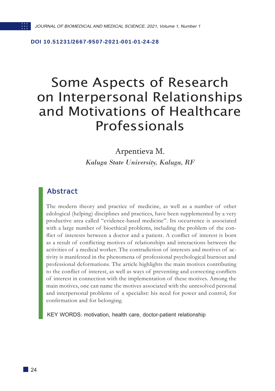DOI 10.51231/2667-9507-2021-001-01-24-28

## Some Aspects of Research on Interpersonal Relationships and Motivations of Healthcare Professionals

## Arpentieva M. *Kaluga State University, Kaluga, RF*

### Abstract

The modern theory and practice of medicine, as well as a number of other edological (helping) disciplines and practices, have been supplemented by a very productive area called "evidence-based medicine". Its occurrence is associated with a large number of bioethical problems, including the problem of the conflict of interests between a doctor and a patient. A conflict of interest is born as a result of conflicting motives of relationships and interactions between the activities of a medical worker. The contradiction of interests and motives of activity is manifested in the phenomena of professional psychological burnout and professional deformations. The article highlights the main motives contributing to the conflict of interest, as well as ways of preventing and correcting conflicts of interest in connection with the implementation of these motives. Among the main motives, one can name the motives associated with the unresolved personal and interpersonal problems of a specialist: his need for power and control, for confirmation and for belonging.

KEY WORDS: motivation, health care, doctor-patient relationship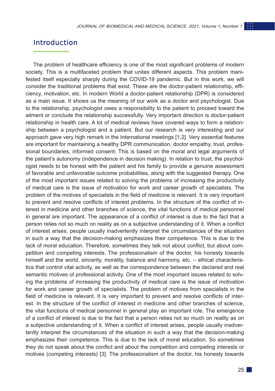#### Introduction

The problem of healthcare efficiency is one of the most significant problems of modern society. This is a multifaceted problem that unites different aspects. This problem manifested itself especially sharply during the COVID-19 pandemic. But in this work, we will consider the traditional problems that exist. These are the doctor-patient relationship, efficiency, motivation, etc. In modern World a doctor-patient relationship (DPR) is considered as a main issue. It shows us the meaning of our work as a doctor and psychologist. Due to the relationship, psychologist owes a responsibility to the patient to proceed toward the ailment or conclude the relationship successfully. Very important direction is doctor-patient relationship in health care. A lot of medical reviews have covered ways to form a relationship between a psychologist and a patient. But our research is very interesting and our approach gave very high remark in the International meetings [1,2]. Very essential features are important for maintaining a healthy DPR communication, doctor empathy, trust, professional boundaries, informed consent: This is based on the moral and legal arguments of the patient's autonomy (independence in decision making). In relation to trust, the psychologist needs to be honest with the patient and his family to provide a genuine assessment of favorable and unfavorable outcome probabilities, along with the suggested therapy. One of the most important issues related to solving the problems of increasing the productivity of medical care is the issue of motivation for work and career growth of specialists. The problem of the motives of specialists in the field of medicine is relevant. It is very important to prevent and resolve conflicts of interest problems. In the structure of the conflict of interest in medicine and other branches of science, the vital functions of medical personnel in general are important. The appearance of a conflict of interest is due to the fact that a person relies not so much on reality as on a subjective understanding of it. When a conflict of interest arises, people usually inadvertently interpret the circumstances of the situation in such a way that the decision-making emphasizes their competence. This is due to the lack of moral education. Therefore, sometimes they talk not about conflict, but about competition and competing interests. The professionalism of the doctor, his honesty towards himself and the world, sincerity, morality, balance and harmony, etc. – ethical characteristics that control vital activity, as well as the correspondence between the declared and real semantic motives of professional activity. One of the most important issues related to solving the problems of increasing the productivity of medical care is the issue of motivation for work and career growth of specialists. The problem of motives from specialists in the field of medicine is relevant. It is very important to prevent and resolve conflicts of interest. In the structure of the conflict of interest in medicine and other branches of science, the vital functions of medical personnel in general play an important role. The emergence of a conflict of interest is due to the fact that a person relies not so much on reality as on a subjective understanding of it. When a conflict of interest arises, people usually inadvertently interpret the circumstances of the situation in such a way that the decision-making emphasizes their competence. This is due to the lack of moral education. So sometimes they do not speak about the conflict and about the competition and competing interests or motives (competing interests) [3]. The professionalism of the doctor, his honesty towards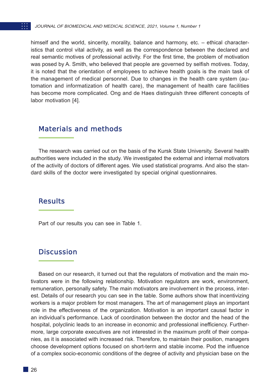himself and the world, sincerity, morality, balance and harmony, etc. – ethical characteristics that control vital activity, as well as the correspondence between the declared and real semantic motives of professional activity. For the first time, the problem of motivation was posed by A. Smith, who believed that people are governed by selfish motives. Today, it is noted that the orientation of employees to achieve health goals is the main task of the management of medical personnel. Due to changes in the health care system (automation and informatization of health care), the management of health care facilities has become more complicated. Ong and de Haes distinguish three different concepts of labor motivation [4].

### Materials and methods

The research was carried out on the basis of the Kursk State University. Several health authorities were included in the study. We investigated the external and internal motivators of the activity of doctors of different ages. We used statistical programs. And also the standard skills of the doctor were investigated by special original questionnaires.

#### **Results**

Part of our results you can see in Table 1.

#### **Discussion**

Based on our research, it turned out that the regulators of motivation and the main motivators were in the following relationship. Motivation regulators are work, environment, remuneration, personally safety. The main motivators are involvement in the process, interest. Details of our research you can see in the table. Some authors show that incentivizing workers is a major problem for most managers. The art of management plays an important role in the effectiveness of the organization. Motivation is an important causal factor in an individual's performance. Lack of coordination between the doctor and the head of the hospital, polyclinic leads to an increase in economic and professional inefficiency. Furthermore, large corporate executives are not interested in the maximum profit of their companies, as it is associated with increased risk. Therefore, to maintain their position, managers choose development options focused on short-term and stable income. Pod the influence of a complex socio-economic conditions of the degree of activity and physician base on the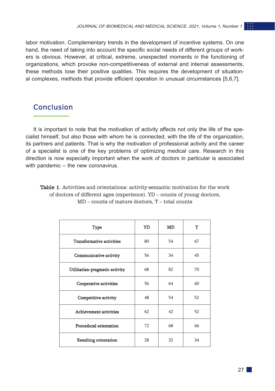labor motivation. Complementary trends in the development of incentive systems. On one hand, the need of taking into account the specific social needs of different groups of workers is obvious. However, at critical, extreme, unexpected moments in the functioning of organizations, which provoke non-competitiveness of external and internal assessments, these methods lose their positive qualities. This requires the development of situational complexes, methods that provide efficient operation in unusual circumstances [5,6,7].

## Conclusion

It is important to note that the motivation of activity affects not only the life of the specialist himself, but also those with whom he is connected, with the life of the organization, its partners and patients. That is why the motivation of professional activity and the career of a specialist is one of the key problems of optimizing medical care. Research in this direction is now especially important when the work of doctors in particular is associated with pandemic – the new coronavirus.

Table 1. Activities and orientations: activity-semantic motivation for the work of doctors of different ages (experience). YD – counts of young doctors, MD – counts of mature doctors, T – total counts

| <b>Type</b>                      | YD | MD | т  |
|----------------------------------|----|----|----|
| <b>Transformative activities</b> | 80 | 54 | 67 |
| Communicative activity           | 56 | 34 | 45 |
| Utilitarian-pragmatic activity   | 68 | 82 | 70 |
| Cooperative activities           | 56 | 64 | 60 |
| Competitive activity             | 48 | 54 | 52 |
| <b>Achievement activities</b>    | 62 | 42 | 52 |
| Procedural orientation           | 72 | 68 | 66 |
| <b>Resulting orientation</b>     | 28 | 32 | 34 |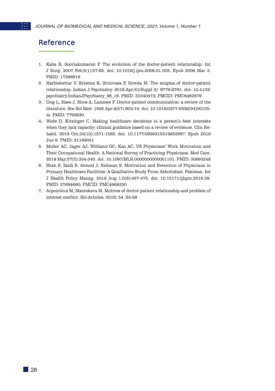#### Reference

- 1. Kaba R, Sooriakumaran P. The evolution of the doctor-patient relationship. Int J Surg. 2007 Feb;5(1):57-65. doi: 10.1016/j.ijsu.2006.01.005. Epub 2006 Mar 3. PMID: 17386916
- 2. Harbishettar V, Krishna K, Srinivasa P, Gowda M. The enigma of doctor-patient relationship. Indian J Psychiatry. 2019 Apr;61(Suppl 4): S776-S781. doi: 10.4103/ psychiatry.IndianJPsychiatry\_96\_19. PMID: 31040473; PMCID: PMC6482679
- 3. Ong L, Haes J, Hoos A, Lammes F. Doctor-patient communication: a review of the literature. Soc Sci Med. 1995 Apr;40(7):903-18. doi: 10.1016/0277-9536(94)00155 m. PMID: 7792630
- 4. Wade D, Kitzinger C. Making healthcare decisions in a person's best interests when they lack capacity: clinical guidance based on a review of evidence. Clin Rehabil. 2019 Oct;33(10):1571-1585. doi: 10.1177/0269215519852987. Epub 2019 Jun 6. PMID: 31169031
- 5. Moller AC, Jager AJ, Williams GC, Kao AC. US Physicians' Work Motivation and Their Occupational Health: A National Survey of Practicing Physicians. Med Care. 2019 May;57(5):334-340. doi: 10.1097/MLR.0000000000001101. PMID: 30893248
- 6. Shah S, Zaidi S, Ahmed J, Rehman S. Motivation and Retention of Physicians in Primary Healthcare Facilities: A Qualitative Study From Abbottabad, Pakistan. Int J Health Policy Manag. 2016 Aug 1;5(8):467-475. doi: 10.15171/ijhpm.2016.38. PMID: 27694660; PMCID: PMC4968250
- 7. Arpentieva M, Mantskava M. Motives of doctor patient relationship and problem of interest conflict. Sci-Articles. 2016; 54:52-59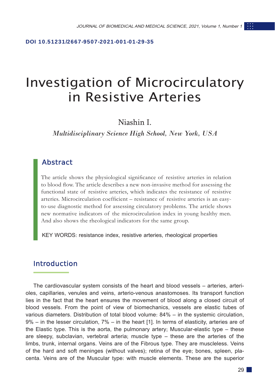#### DOI 10.51231/2667-9507-2021-001-01-29-35

## Investigation of Microcirculatory in Resistive Arteries

Niashin I.

*Multidisciplinary Science High School, New York, USA*

#### Abstract

The article shows the physiological significance of resistive arteries in relation to blood flow. The article describes a new non-invasive method for assessing the functional state of resistive arteries, which indicates the resistance of resistive arteries. Microcirculation coefficient – resistance of resistive arteries is an easyto-use diagnostic method for assessing circulatory problems. The article shows new normative indicators of the microcirculation index in young healthy men. And also shows the rheological indicators for the same group.

KEY WORDS: resistance index, resistive arteries, rheological properties

#### Introduction

The cardiovascular system consists of the heart and blood vessels – arteries, arterioles, capillaries, venules and veins, arterio-venous anastomoses. Its transport function lies in the fact that the heart ensures the movement of blood along a closed circuit of blood vessels. From the point of view of biomechanics, vessels are elastic tubes of various diameters. Distribution of total blood volume: 84% – in the systemic circulation, 9% – in the lesser circulation, 7% – in the heart [1]. In terms of elasticity, arteries are of the Elastic type. This is the aorta, the pulmonary artery; Muscular-elastic type – these are sleepy, subclavian, vertebral arteria; muscle type – these are the arteries of the limbs, trunk, internal organs. Veins are of the Fibrous type. They are muscleless. Veins of the hard and soft meninges (without valves); retina of the eye; bones, spleen, placenta. Veins are of the Muscular type: with muscle elements. These are the superior

 $\dddot{\mathbf{r}}$ 

29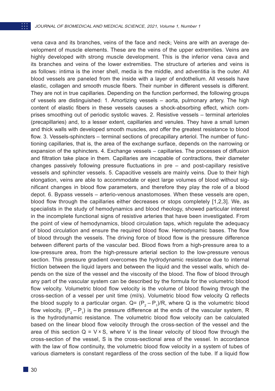vena cava and its branches, veins of the face and neck; Veins are with an average development of muscle elements. These are the veins of the upper extremities. Veins are highly developed with strong muscle development. This is the inferior vena cava and its branches and veins of the lower extremities. The structure of arteries and veins is as follows: intima is the inner shell, media is the middle, and adventitia is the outer. All blood vessels are paneled from the inside with a layer of endothelium. All vessels have elastic, collagen and smooth muscle fibers. Their number in different vessels is different. They are not in true capillaries. Depending on the function performed, the following groups of vessels are distinguished: 1. Amortizing vessels – aorta, pulmonary artery. The high content of elastic fibers in these vessels causes a shock-absorbing effect, which comprises smoothing out of periodic systolic waves. 2. Resistive vessels – terminal arterioles (precapillaries) and, to a lesser extent, capillaries and venules. They have a small lumen and thick walls with developed smooth muscles, and offer the greatest resistance to blood flow. 3. Vessels-sphincters – terminal sections of precapillary arteriol. The number of functioning capillaries, that is, the area of the exchange surface, depends on the narrowing or expansion of the sphincters. 4. Exchange vessels – capillaries. The processes of diffusion and filtration take place in them. Capillaries are incapable of contractions, their diameter changes passively following pressure fluctuations in pre – and post-capillary resistive vessels and sphincter vessels. 5. Capacitive vessels are mainly veins. Due to their high elongation, veins are able to accommodate or eject large volumes of blood without significant changes in blood flow parameters, and therefore they play the role of a blood depot. 6. Bypass vessels – arterio-venous anastomoses. When these vessels are open, blood flow through the capillaries either decreases or stops completely [1,2,3]. We, as specialists in the study of hemodynamics and blood rheology, showed particular interest in the incomplete functional signs of resistive arteries that have been investigated. From the point of view of hemodynamics, blood circulation taps, which regulate the adequacy of blood circulation and ensure the required blood flow. Hemodynamic bases. The flow of blood through the vessels. The driving force of blood flow is the pressure difference between different parts of the vascular bed. Blood flows from a high-pressure area to a low-pressure area, from the high-pressure arterial section to the low-pressure venous section. This pressure gradient overcomes the hydrodynamic resistance due to internal friction between the liquid layers and between the liquid and the vessel walls, which depends on the size of the vessel and the viscosity of the blood. The flow of blood through any part of the vascular system can be described by the formula for the volumetric blood flow velocity. Volumetric blood flow velocity is the volume of blood flowing through the cross-section of a vessel per unit time (ml/s). Volumetric blood flow velocity Q reflects the blood supply to a particular organ. Q= (P<sub>2</sub> – P<sub>1</sub>)/R, where Q is the volumetric blood flow velocity, (P $_{\rm 2}$  – P $_{\rm 1}$ ) is the pressure difference at the ends of the vascular system, R is the hydrodynamic resistance. The volumetric blood flow velocity can be calculated based on the linear blood flow velocity through the cross-section of the vessel and the area of this section  $Q = V \times S$ , where V is the linear velocity of blood flow through the cross-section of the vessel, S is the cross-sectional area of the vessel. In accordance with the law of flow continuity, the volumetric blood flow velocity in a system of tubes of various diameters is constant regardless of the cross section of the tube. If a liquid flow

HH.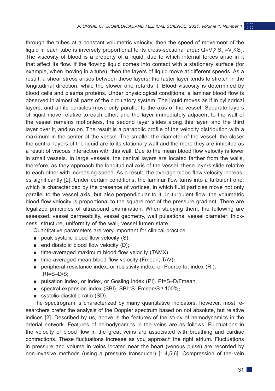through the tubes at a constant volumetric velocity, then the speed of movement of the liquid in each tube is inversely proportional to its cross-sectional area: Q=V<sub>1</sub>× S<sub>1</sub> =V<sub>2</sub>× S<sub>2</sub>. The viscosity of blood is a property of a liquid, due to which internal forces arise in it that affect its flow. If the flowing liquid comes into contact with a stationary surface (for example, when moving in a tube), then the layers of liquid move at different speeds. As a result, a shear stress arises between these layers: the faster layer tends to stretch in the longitudinal direction, while the slower one retards it. Blood viscosity is determined by blood cells and plasma proteins. Under physiological conditions, a laminar blood flow is observed in almost all parts of the circulatory system. The liquid moves as if in cylindrical layers, and all its particles move only parallel to the axis of the vessel. Separate layers of liquid move relative to each other, and the layer immediately adjacent to the wall of the vessel remains motionless, the second layer slides along this layer, and the third layer over it, and so on. The result is a parabolic profile of the velocity distribution with a maximum in the center of the vessel. The smaller the diameter of the vessel, the closer the central layers of the liquid are to its stationary wall and the more they are inhibited as a result of viscous interaction with this wall. Due to the mean blood flow velocity is lower in small vessels. In large vessels, the central layers are located farther from the walls, therefore, as they approach the longitudinal axis of the vessel, these layers slide relative to each other with increasing speed. As a result, the average blood flow velocity increases significantly [2]. Under certain conditions, the laminar flow turns into a turbulent one, which is characterized by the presence of vortices, in which fluid particles move not only parallel to the vessel axis, but also perpendicular to it. In turbulent flow, the volumetric blood flow velocity is proportional to the square root of the pressure gradient. There are legalized principles of ultrasound examination. When studying them, the following are assessed: vessel permeability, vessel geometry, wall pulsations, vessel diameter; thickness, structure, uniformity of the wall; vessel lumen state.

Quantitative parameters are very important for clinical practice:

- $\Box$  peak systolic blood flow velocity (S);
- end diastolic blood flow velocity (D);
- time-averaged maximum blood flow velocity (TAMX);
- time-averaged mean blood flow velocity (Fmean, TAV);
- peripheral resistance index, or resistivity index, or Pource-lot index (RI). RI=S–D/S;
- pulsation index, or index, or Gosling index (PI). PI=S–D/Fmean;
- spectral expansion index (SBI). SBI=S–Fmean/S × 100%;
- systolic-diastolic ratio (SD).

The spectrogram is characterized by many quantitative indicators, however, most researchers prefer the analysis of the Doppler spectrum based on not absolute, but relative indices [2]. Described by us, above is the features of the study of hemodynamics in the arterial network. Features of hemodynamics in the veins are as follows. Fluctuations in the velocity of blood flow in the great veins are associated with breathing and cardiac contractions. These fluctuations increase as you approach the right atrium. Fluctuations in pressure and volume in veins located near the heart (venous pulse) are recorded by non-invasive methods (using a pressure transducer) [1,4,5,6]. Compression of the vein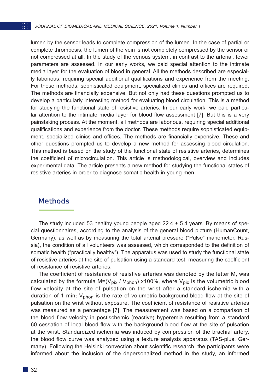lumen by the sensor leads to complete compression of the lumen. In the case of partial or complete thrombosis, the lumen of the vein is not completely compressed by the sensor or not compressed at all. In the study of the venous system, in contrast to the arterial, fewer parameters are assessed. In our early works, we paid special attention to the intimate media layer for the evaluation of blood in general. All the methods described are especially laborious, requiring special additional qualifications and experience from the meeting. For these methods, sophisticated equipment, specialized clinics and offices are required. The methods are financially expensive. But not only had these questions prompted us to develop a particularly interesting method for evaluating blood circulation. This is a method for studying the functional state of resistive arteries. In our early work, we paid particular attention to the intimate media layer for blood flow assessment [7]. But this is a very painstaking process. At the moment, all methods are laborious, requiring special additional qualifications and experience from the doctor. These methods require sophisticated equipment, specialized clinics and offices. The methods are financially expensive. These and other questions prompted us to develop a new method for assessing blood circulation. This method is based on the study of the functional state of resistive arteries, determines the coefficient of microcirculation. This article is methodological, overview and includes experimental data. The article presents a new method for studying the functional states of resistive arteries in order to diagnose somatic health in young men.

#### Methods

The study included 53 healthy young people aged  $22.4 \pm 5.4$  years. By means of special questionnaires, according to the analysis of the general blood picture (HumanCount, Germany), as well as by measuring the total arterial pressure ("Pulse" manometer, Russia), the condition of all volunteers was assessed, which corresponded to the definition of somatic health ("practically healthy"). The apparatus was used to study the functional state of resistive arteries at the site of pulsation using a standard test, measuring the coefficient of resistance of resistive arteries.

The coefficient of resistance of resistive arteries was denoted by the letter M, was calculated by the formula  $M=(V_{pix} / V_{phon})$  x100%, where  $V_{pix}$  is the volumetric blood flow velocity at the site of pulsation on the wrist after a standard ischemia with a duration of 1 min;  $V<sub>phon</sub>$  is the rate of volumetric background blood flow at the site of pulsation on the wrist without exposure. The coefficient of resistance of resistive arteries was measured as a percentage [7]. The measurement was based on a comparison of the blood flow velocity in postischemic (reactive) hyperemia resulting from a standard 60 cessation of local blood flow with the background blood flow at the site of pulsation at the wrist. Standardized ischemia was induced by compression of the brachial artery, the blood flow curve was analyzed using a texture analysis apparatus (TAS-plus, Germany). Following the Helsinki convection about scientific research, the participants were informed about the inclusion of the depersonalized method in the study, an informed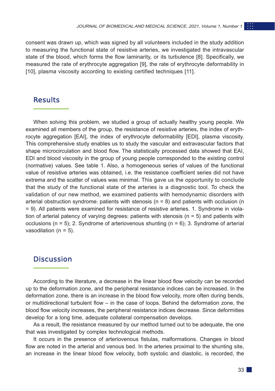consent was drawn up, which was signed by all volunteers included in the study addition to measuring the functional state of resistive arteries, we investigated the intravascular state of the blood, which forms the flow laminarity, or its turbulence [8]. Specifically, we measured the rate of erythrocyte aggregation [9], the rate of erythrocyte deformability in [10], plasma viscosity according to existing certified techniques [11].

#### **Results**

When solving this problem, we studied a group of actually healthy young people. We examined all members of the group, the resistance of resistive arteries, the index of erythrocyte aggregation [EAI], the index of erythrocyte deformability [EDI], plasma viscosity. This comprehensive study enables us to study the vascular and extravascular factors that shape microcirculation and blood flow. The statistically processed data showed that EAI, EDI and blood viscosity in the group of young people corresponded to the existing control (normative) values. See table 1. Also, a homogeneous series of values of the functional value of resistive arteries was obtained, i.e. the resistance coefficient series did not have extrema and the scatter of values was minimal. This gave us the opportunity to conclude that the study of the functional state of the arteries is a diagnostic tool. To check the validation of our new method, we examined patients with hemodynamic disorders with arterial obstruction syndrome: patients with stenosis ( $n = 8$ ) and patients with occlusion (n = 9). All patients were examined for resistance of resistive arteries. 1. Syndrome in violation of arterial patency of varying degrees: patients with stenosis (n = 5) and patients with occlusions ( $n = 5$ ); 2. Syndrome of arteriovenous shunting ( $n = 6$ ); 3. Syndrome of arterial vasodilation ( $n = 5$ ).

#### **Discussion**

According to the literature, a decrease in the linear blood flow velocity can be recorded up to the deformation zone, and the peripheral resistance indices can be increased. In the deformation zone, there is an increase in the blood flow velocity, more often during bends, or multidirectional turbulent flow – in the case of loops. Behind the deformation zone, the blood flow velocity increases, the peripheral resistance indices decrease. Since deformities develop for a long time, adequate collateral compensation develops.

As a result, the resistance measured by our method turned out to be adequate, the one that was investigated by complex technological methods.

It occurs in the presence of arteriovenous fistulas, malformations. Changes in blood flow are noted in the arterial and venous bed. In the arteries proximal to the shunting site, an increase in the linear blood flow velocity, both systolic and diastolic, is recorded, the

 $\dddot{\mathbf{z}}$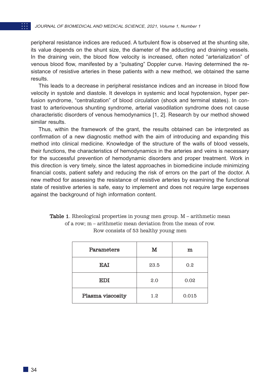peripheral resistance indices are reduced. A turbulent flow is observed at the shunting site, its value depends on the shunt size, the diameter of the adducting and draining vessels. In the draining vein, the blood flow velocity is increased, often noted "arterialization" of venous blood flow, manifested by a "pulsating" Doppler curve. Having determined the resistance of resistive arteries in these patients with a new method, we obtained the same results.

This leads to a decrease in peripheral resistance indices and an increase in blood flow velocity in systole and diastole. It develops in systemic and local hypotension, hyper perfusion syndrome, "centralization" of blood circulation (shock and terminal states). In contrast to arteriovenous shunting syndrome, arterial vasodilation syndrome does not cause characteristic disorders of venous hemodynamics [1, 2]. Research by our method showed similar results.

Thus, within the framework of the grant, the results obtained can be interpreted as confirmation of a new diagnostic method with the aim of introducing and expanding this method into clinical medicine. Knowledge of the structure of the walls of blood vessels, their functions, the characteristics of hemodynamics in the arteries and veins is necessary for the successful prevention of hemodynamic disorders and proper treatment. Work in this direction is very timely, since the latest approaches in biomedicine include minimizing financial costs, patient safety and reducing the risk of errors on the part of the doctor. A new method for assessing the resistance of resistive arteries by examining the functional state of resistive arteries is safe, easy to implement and does not require large expenses against the background of high information content.

Table 1. Rheological properties in young men group. M – arithmetic mean of a row; m – arithmetic mean deviation from the mean of row. Row consists of 53 healthy young men

| Parameters       | м    | m     |
|------------------|------|-------|
| EAI              | 23.5 | 0.2   |
| EDI              | 2.0  | 0.02  |
| Plasma viscosity | 1.2  | 0.015 |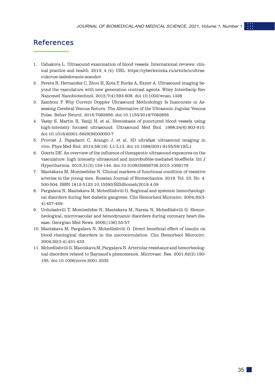### References

- 1. Ushakova L. Ultrasound examination of blood vessels. International reviews: clinical practice and health. 2013; 4 (4): URL: https://cyberleninka.ru/article/n/ultrazvukovoe-issledovanie-sosudov
- 2. Perera R, Hernandez C, Zhou H, Kota P, Burke A, Exner A. Ultrasound imaging beyond the vasculature with new generation contrast agents. Wiley Interdiscip Rev Nanomed Nanobiotechnol. 2015;7(4):593-608. doi:10.1002/wnan.1326
- 3. Zamboni P. Why Current Doppler Ultrasound Methodology Is Inaccurate in Assessing Cerebral Venous Return: The Alternative of the Ultrasonic Jugular Venous Pulse. Behav Neurol. 2016:7082856. doi:10.1155/2016/7082856
- 4. Vaezy S, Martin R, Yaziji H, et al. Hemostasis of punctured blood vessels using high-intensity focused ultrasound. Ultrasound Med Biol. 1998;24(6):903-910. doi:10.1016/s0301-5629(98)00050-7
- 5. Provost J, Papadacci C, Arango J, et al. 3D ultrafast ultrasound imaging in vivo. Phys Med Biol. 2014;59(19): L1-L13. doi:10.1088/0031-9155/59/19/L1
- 6. Goertz DE. An overview of the influence of therapeutic ultrasound exposures on the vasculature: high intensity ultrasound and microbubble-mediated bioeffects. Int J Hyperthermia. 2015;31(2):134-144. doi:10.3109/02656736.2015.1009179
- 7. Mantskava M, Momtselidze N. Clinical markers of functional condition of resistive arteries in the young men. Russian Journal of Biomechanics. 2019. Vol. 23, No. 4: 500-504. ISSN 1812-5123.10.15593/RZhBiomeh/2019.4.09
- 8. Pargalava N, Mantskava M, Mchedlishvili G. Regional and systemic hemorheological disorders during feet diabetic gangrene. Clin Hemorheol Microcirc. 2004;30(3- 4):457-459.
- 9. Urdulashvili T, Momtselidze N, Mantskava M, Narsia N, Mchedlishvili G. Hemorheological, microvascular and hemodynamic disorders during coronary heart disease. Georgian Med News. 2006;(136):55-57
- 10. Mantskava M, Pargalava N, Mchedlishvili G. Direct beneficial effect of insulin on blood rheological disorders in the microcirculation. Clin Hemorheol Microcirc. 2004;30(3-4):431-433.
- 11. Mchedlishvili G, Mantskava M, Pargalava N. Arteriolar resistance and hemorheological disorders related to Raynaud's phenomenon. Microvasc. Res. 2001;62(2):190- 195. doi:10.1006/mvre.2001.2335

 $\frac{1}{2}$  ,  $\frac{1}{2}$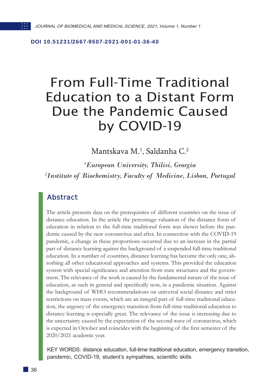#### DOI 10.51231/2667-9507-2021-001-01-36-40

## From Full-Time Traditional Education to a Distant Form Due the Pandemic Caused by COVID-19

Mantskava M.1 , Saldanha C.2

*1 European University, Tbilisi, Georgia 2 Institute of Biochemistry, Faculty of Medicine, Lisbon, Portugal*

### Abstract

The article presents data on the prerequisites of different countries on the issue of distance education. In the article the percentage valuation of the distance form of education in relation to the full-time traditional form was shown before the pandemic caused by the new coronavirus and after. In connection with the COVID-19 pandemic, a change in these proportions occurred due to an increase in the partial part of distance learning against the background of a suspended full-time traditional education. In a number of countries, distance learning has become the only one, absorbing all other educational approaches and systems. This provided the education system with special significance and attention from state structures and the government. The relevance of the work is caused by the fundamental nature of the issue of education, as such in general and specifically now, in a pandemic situation. Against the background of WHO recommendations on universal social distance and strict restrictions on mass events, which are an integral part of full-time traditional education, the urgency of the emergency transition from full-time traditional education to distance learning is especially great. The relevance of the issue is increasing due to the uncertainty caused by the expectation of the second wave of coronavirus, which is expected in October and coincides with the beginning of the first semester of the 2020/2021 academic year.

 KEY WORDS: distance education, full-time traditional education, emergency transition, pandemic, COVID-19, student's sympathies, scientific skills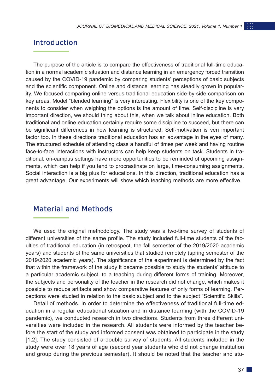## Introduction

The purpose of the article is to compare the effectiveness of traditional full-time education in a normal academic situation and distance learning in an emergency forced transition caused by the COVID-19 pandemic by comparing students' perceptions of basic subjects and the scientific component. Online and distance learning has steadily grown in popularity. We focused comparing online versus traditional education side-by-side comparison on key areas. Model "blended learning" is very interesting. Flexibility is one of the key components to consider when weighing the options is the amount of time. Self-discipline is very important direction, we should thing about this, when we talk about inline education. Both traditional and online education certainly require some discipline to succeed, but there can be significant differences in how learning is structured. Self-motivation is veri important factor too. In these directions traditional education has an advantage in the eyes of many. The structured schedule of attending class a handful of times per week and having routine face-to-face interactions with instructors can help keep students on task. Students in traditional, on-campus settings have more opportunities to be reminded of upcoming assignments, which can help if you tend to procrastinate on large, time-consuming assignments. Social interaction is a big plus for educations. In this direction, traditional education has a great advantage. Our experiments will show which teaching methods are more effective.

# **Material and Methods**

We used the original methodology. The study was a two-time survey of students of different universities of the same profile. The study included full-time students of the faculties of traditional education (in retrospect, the fall semester of the 2019/2020 academic years) and students of the same universities that studied remotely (spring semester of the 2019/2020 academic years). The significance of the experiment is determined by the fact that within the framework of the study it became possible to study the students' attitude to a particular academic subject, to a teaching during different forms of training. Moreover, the subjects and personality of the teacher in the research did not change, which makes it possible to reduce artifacts and show comparative features of only forms of learning. Perceptions were studied in relation to the basic subject and to the subject "Scientific Skills".

Detail of methods. In order to determine the effectiveness of traditional full-time education in a regular educational situation and in distance learning (with the COVID-19 pandemic), we conducted research in two directions. Students from three different universities were included in the research. All students were informed by the teacher before the start of the study and informed consent was obtained to participate in the study [1,2]. The study consisted of a double survey of students. All students included in the study were over 18 years of age (second year students who did not change institution and group during the previous semester). It should be noted that the teacher and stu-

 $\dddot{\mathbf{z}}$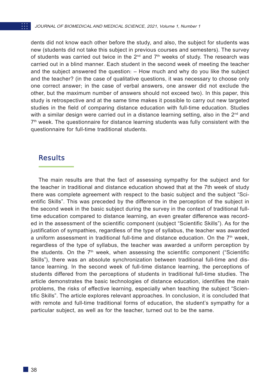dents did not know each other before the study, and also, the subject for students was new (students did not take this subject in previous courses and semesters). The survey of students was carried out twice in the  $2^{nd}$  and  $7<sup>th</sup>$  weeks of study. The research was carried out in a blind manner. Each student in the second week of meeting the teacher and the subject answered the question: – How much and why do you like the subject and the teacher? (in the case of qualitative questions, it was necessary to choose only one correct answer; in the case of verbal answers, one answer did not exclude the other, but the maximum number of answers should not exceed two). In this paper, this study is retrospective and at the same time makes it possible to carry out new targeted studies in the field of comparing distance education with full-time education. Studies with a similar design were carried out in a distance learning setting, also in the  $2<sup>nd</sup>$  and 7<sup>th</sup> week. The questionnaire for distance learning students was fully consistent with the questionnaire for full-time traditional students.

## Results

HH.

The main results are that the fact of assessing sympathy for the subject and for the teacher in traditional and distance education showed that at the 7th week of study there was complete agreement with respect to the basic subject and the subject "Scientific Skills". This was preceded by the difference in the perception of the subject in the second week in the basic subject during the survey in the context of traditional fulltime education compared to distance learning, an even greater difference was recorded in the assessment of the scientific component (subject "Scientific Skills"). As for the justification of sympathies, regardless of the type of syllabus, the teacher was awarded a uniform assessment in traditional full-time and distance education. On the  $7<sup>th</sup>$  week, regardless of the type of syllabus, the teacher was awarded a uniform perception by the students. On the 7<sup>th</sup> week, when assessing the scientific component ("Scientific Skills"), there was an absolute synchronization between traditional full-time and distance learning. In the second week of full-time distance learning, the perceptions of students differed from the perceptions of students in traditional full-time studies. The article demonstrates the basic technologies of distance education, identifies the main problems, the risks of effective learning, especially when teaching the subject "Scientific Skills". The article explores relevant approaches. In conclusion, it is concluded that with remote and full-time traditional forms of education, the student's sympathy for a particular subject, as well as for the teacher, turned out to be the same.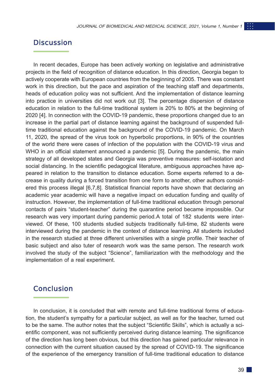# **Discussion**

In recent decades, Europe has been actively working on legislative and administrative projects in the field of recognition of distance education. In this direction, Georgia began to actively cooperate with European countries from the beginning of 2005. There was constant work in this direction, but the pace and aspiration of the teaching staff and departments, heads of education policy was not sufficient. And the implementation of distance learning into practice in universities did not work out [3]. The percentage dispersion of distance education in relation to the full-time traditional system is 20% to 80% at the beginning of 2020 [4]. In connection with the COVID-19 pandemic, these proportions changed due to an increase in the partial part of distance learning against the background of suspended fulltime traditional education against the background of the COVID-19 pandemic. On March 11, 2020, the spread of the virus took on hyperbolic proportions, in 90% of the countries of the world there were cases of infection of the population with the COVID-19 virus and WHO in an official statement announced a pandemic [5]. During the pandemic, the main strategy of all developed states and Georgia was preventive measures: self-isolation and social distancing. In the scientific pedagogical literature, ambiguous approaches have appeared in relation to the transition to distance education. Some experts referred to a decrease in quality during a forced transition from one form to another, other authors considered this process illegal [6,7,8]. Statistical financial reports have shown that declaring an academic year academic will have a negative impact on education funding and quality of instruction. However, the implementation of full-time traditional education through personal contacts of pairs "student-teacher" during the quarantine period became impossible. Our research was very important during pandemic period. A total of 182 students were interviewed. Of these, 100 students studied subjects traditionally full-time, 82 students were interviewed during the pandemic in the context of distance learning. All students included in the research studied at three different universities with a single profile. Their teacher of basic subject and also tuter of research work was the same person. The research work involved the study of the subject "Science", familiarization with the methodology and the implementation of a real experiment.

# Conclusion

In conclusion, it is concluded that with remote and full-time traditional forms of education, the student's sympathy for a particular subject, as well as for the teacher, turned out to be the same. The author notes that the subject "Scientific Skills", which is actually a scientific component, was not sufficiently perceived during distance learning. The significance of the direction has long been obvious, but this direction has gained particular relevance in connection with the current situation caused by the spread of COVID-19. The significance of the experience of the emergency transition of full-time traditional education to distance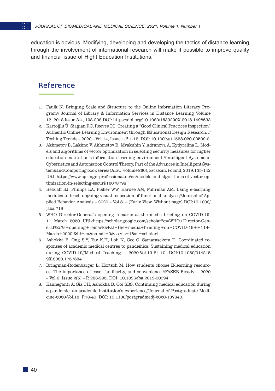education is obvious. Modifying, developing and developing the tactics of distance learning through the involvement of international research will make it possible to improve quality and financial issue of Hight Education Institutions.

# Reference

- 1. Faulk N. Bringing Scale and Structure to the Online Information Literacy Program// Journal of Library & Information Services in Distance Learning Volume 12, 2018 Issue 3-4, 198-208 DOI: https://doi.org/10.1080/1533290X.2018.1498633
- 2. Kartoğlu Ü, Siagian RC, Reeves TC. Creating a "Good Clinical Practices Inspection" Authentic Online Learning Environment through Educational Design Research. // Teching Trends – 2020 – Vol.14, Issue 1-P. 1-12. DOI: 10.1007/s11528-020-00509-0.
- 3. Akhmetov B, Lakhno V, Akhmetov B, Myakuhin Y, Adranova A, Kydyralina L. Models and algorithms of vector optimization in selecting security measures for higher education institution's information learning environment //Intelligent Systems in Cybernetics and Automation Control Theory, Part of the Advances in Intelligent Systems and Computing book series (AISC, volume 860), Szczecin, Poland, 2019.135-142 URL:https://www.springerprofessional.de/en/models-and-algorithms-of-vector-optimization-in-selecting-securi/16078798
- 4. Retzlaff BJ, Phillips LA, Fisher WW, Hardee AM, Fuhrman AM. Using e-learning modules to teach ongoing-visual inspection of functional analyses//Journal of Applied Behavior Analysis – 2020 – Vol.8. – (Early View. Without page) DOI:10.1002/ jaba.719
- 5. WHO Director-General's opening remarks at the media briefing on COVID-19. 11 March 2020 URL:https://scholar.google.com/scholar?q=WHO+Director-General%27s+opening+remarks+at+the+media+briefing+on+COVID-19++11+-March+2020.&hl=en&as\_sdt=0&as vis=1&oi=scholart
- 6. Ashokka B, Ong S.Y, Tay K.H, Loh N, Gee C, Samarasekera D. Coordinated responses of academic medical centres to pandemics: Sustaining medical education during COVID-19//Medical Teaching. – 2020-Vol.13-P.1-10. DOI:10.1080/014215 9X.2020.1757634
- 7. Bringman-Rodenbarger L, Hortsch M. How students choose E-learning resources: The importance of ease, familiarity, and convenience.//FASEB Bioadv. – 2020 – Vol.6, Issue 2(5) – P. 286-295. DOI: 10.1096/fba.2019-00094
- 8. Kanneganti A, Sia CH, Ashokka B, Ooi SBS. Continuing medical education during a pandemic: an academic institution's experience//Journal of Postgraduate Medicine-2020-Vol.13. P.78-40. DOI: 10.1136/postgradmedj-2020-137840.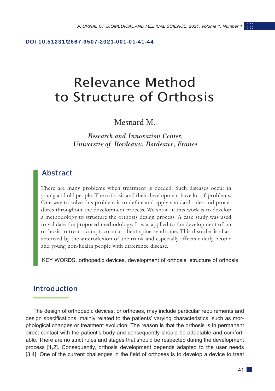#### DOI 10.51231/2667-9507-2021-001-01-41-44

# Relevance Method to Structure of Orthosis

Mesnard M.

*Research and Innovation Center, University of Bordeaux, Bordeaux, France*

## Abstract

There are many problems when treatment is needed. Such diseases occur in young and old people. The orthosis and their development have lot of problems. One way to solve this problem is to define and apply standard rules and procedures throughout the development process. We show in this work is to develop a methodology to structure the orthosis design process. A case study was used to validate the proposed methodology. It was applied to the development of an orthosis to treat a camptocormia – bent spine syndrome. This disorder is characterized by the anteroflexion of the trunk and especially affects elderly people and young non-health people with difference disease.

KEY WORDS: orthopedic devices, development of orthosis, structure of orthosis

## Introduction

The design of orthopedic devices, or orthoses, may include particular requirements and design specifications, mainly related to the patients' varying characteristics, such as morphological changes or treatment evolution. The reason is that the orthosis is in permanent direct contact with the patient's body and consequently should be adaptable and comfortable. There are no strict rules and stages that should be respected during the development process [1,2]. Consequently, orthosis development depends adapted to the user needs [3,4]. One of the current challenges in the field of orthoses is to develop a device to treat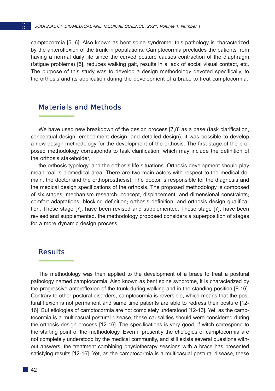camptocormia [5, 6]. Also known as bent spine syndrome, this pathology is characterized by the anteroflexion of the trunk in populations. Camptocormia precludes the patients from having a normal daily life since the curved posture causes contraction of the diaphragm (fatigue problems) [5], reduces walking gait, results in a lack of social visual contact, etc. The purpose of this study was to develop a design methodology devoted specifically, to the orthosis and its application during the development of a brace to treat camptocormia.

## **Materials and Methods**

We have used new breakdown of the design process [7,8] as a base (task clarification, conceptual design, embodiment design, and detailed design), it was possible to develop a new design methodology for the development of the orthosis. The first stage of the proposed methodology corresponds to task clarification, which may include the definition of the orthosis stakeholder,

the orthosis typology, and the orthosis life situations. Orthosis development should play mean roal is biomedical area. There are two main actors with respect to the medical domain, the doctor and the orthoprosthesist. The doctor is responsible for the diagnosis and the medical design specifications of the orthosis. The proposed methodology is composed of six stages: mechanism research; concept, displacement, and dimensional constraints; comfort adaptations; blocking definition; orthosis definition; and orthosis design qualification. These stage [7], have been revised and supplemented. These stage [7], have been revised and supplemented. the methodology proposed considers a superposition of stages for a more dynamic design process.

## Results

The methodology was then applied to the development of a brace to treat a postural pathology named camptocormia. Also known as bent spine syndrome, it is characterized by the progressive anteroflexion of the trunk during walking and in the standing position [8-16]. Contrary to other postural disorders, camptocormia is reversible, which means that the postural flexion is not permanent and same time patients are able to redress their posture [12- 16]. But etiologies of camptocormia are not completely understood [12-16]. Yet, as the camptocormia is a multicasual postural disease, these causalities should were considered during the orthosis design process [12-16]. The specifications is very good, if witch correspond to the starting point of the methodology. Even if presently the etiologies of camptocormia are not completely understood by the medical community, and still exists several questions without answers, the treatment combining physiotherapy sessions with a brace has presented satisfying results [12-16]. Yet, as the camptocormia is a multicasual postural disease, these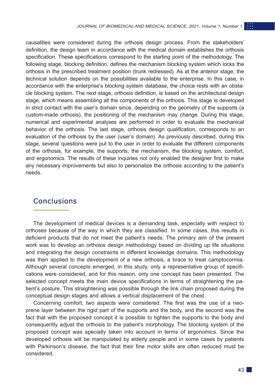causalities were considered during the orthosis design process. From the stakeholders' definition, the design team in accordance with the medical domain establishes the orthosis specification. These specifications correspond to the starting point of the methodology. The following stage, blocking definition, defines the mechanism blocking system which locks the orthosis in the prescribed treatment position (trunk redressed). As at the anterior stage, the technical solution depends on the possibilities available to the enterprise. In this case, in accordance with the enterprise's blocking system database, the choice rests with an obstacle blocking system. The next stage, orthosis definition, is based on the architectural design stage, which means assembling all the components of the orthosis. This stage is developed in strict contact with the user's domain since, depending on the geometry of the supports (a custom-made orthosis), the positioning of the mechanism may change. During this stage, numerical and experimental analyses are performed in order to evaluate the mechanical behavior of the orthosis. The last stage, orthosis design qualification, corresponds to an evaluation of the orthosis by the user (user's domain). As previously described, during this stage, several questions were put to the user in order to evaluate the different components of the orthosis, for example, the supports, the mechanism, the blocking system, comfort, and ergonomics. The results of these inquiries not only enabled the designer first to make any necessary improvements but also to personalize the orthosis according to the patient's needs.

# Conclusions

The development of medical devices is a demanding task, especially with respect to orthoses because of the way in which they are classified. In some cases, this results in deficient products that do not meet the patient's needs. The primary aim of the present work was to develop an orthosis design methodology based on dividing up life situations and integrating the design constraints in different knowledge domains. This methodology was then applied to the development of a new orthosis, a brace to treat camptocormia. Although several concepts emerged, in this study, only a representative group of specifications were considered, and for this reason, only one concept has been presented. The selected concept meets the main device specifications in terms of straightening the patient's posture. This straightening was possible through the link chain proposed during the conceptual design stages and allows a vertical displacement of the chest.

Concerning comfort, two aspects were considered. The first was the use of a neoprene layer between the rigid part of the supports and the body, and the second was the fact that with the proposed concept it is possible to tighten the supports to the body and consequently adjust the orthosis to the patient's morphology. The blocking system of the proposed concept was specially taken into account in terms of ergonomics. Since the developed orthosis will be manipulated by elderly people and in some cases by patients with Parkinson's disease, the fact that their fine motor skills are often reduced must be considered.

 $\dddot{\mathbf{z}}$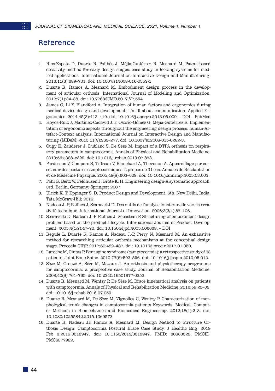## Reference

- 1. Rios-Zapata D, Duarte R, Pailhès J, Méjia-Gutiérrez R, Mesnard M. Patent-based creativity method for early design stages: case study in locking systems for medical applications. International Journal on Interactive Design and Manufacturing. 2016;11(3):689–701. doi: 10.1007/s12008-016-0352-1.
- 2. Duarte R, Ramos A, Mesnard M. Embodiment design process in the development of articular orthosis. International Journal of Modeling and Optimization. 2017;7(1):34–38. doi: 10.7763/IJMO.2017.V7.554.
- 3. James C, Li Y, Blandford A. Integration of human factors and ergonomics during medical device design and development: it's all about communication. Applied Ergonomics. 2014;45(3):413–419. doi: 10.1016/j.apergo.2013.05.009. – DOI – PubMed
- 4. Hoyos-Ruiz J, Martínez-Cadavid J. F, Osorio-Gómez G, Mejía-Gutiérrez R. Implementation of ergonomic aspects throughout the engineering design process: human-Artefact-Context analysis. International Journal on Interactive Design and Manufacturing (IJIDeM) 2015;11(2):263–277. doi: 10.1007/s12008-015-0282-3.
- 5. Cugy E, Zauderer J, Dublanc S, De Seze M. Impact of a DTPA orthesis on respiratory parameters in camptocormia. Annals of Physical and Rehabilitation Medicine. 2013;56:e328–e329. doi: 10.1016/j.rehab.2013.07.873.
- 6. Pardessus V, Compere S, Tiffreau V, Blanchard A, Thevenon A. Appareillage par corset cuir des postures camptocormiques: à propos de 31 cas. Annales de Réadaptation et de Médecine Physique. 2005;48(8):603–609. doi: 10.1016/j.annrmp.2005.03.002.
- 7. Pahl G, Beitz W, Feldhusen J, Grote K. H. Engineering design-A systematic approach. 3rd. Berlin, Germany: Springer; 2007.
- 8. Ulrich K. T, Eppinger S. D. Product Design and Development. 6th. New Delhi, India: Tata McGraw-Hill; 2015.
- 9. Nadeau J.-P, Pailhes J, Scaravetti D. Des outils de l'analyse fonctionnelle vers la créativité technique. International Journal of Innovation. 2006;3(3/4):87–106.
- 10. Scaravetti D, Nadeau J.-P, Pailhes J, Sebastian P. Structuring of embodiment design problem based on the product lifecycle. International Journal of Product Development. 2005;2(1/2):47–70. doi: 10.1504/ijpd.2005.006668. – DOI
- 11. Regufe L, Duarte R, Ramos A, Nadeau J.-P, Perry N, Mesnard M. An exhaustive method for researching articular orthosis mechanisms at the conceptual design stage. Procedia CIRP. 2017;60:482–487. doi: 10.1016/j.procir.2017.01.050.
- 12. Laroche M, Cintas P. Bent spine syndrome (camptocormia): a retrospective study of 63 patients. Joint Bone Spine. 2010;77(6):593–596. doi: 10.1016/j.jbspin.2010.05.012.
- 13. Sèze M, Creuzé A, Sèze M, Mazaux J. An orthosis and physiotherapy programme for camptocormia: a prospective case study. Journal of Rehabilitation Medicine. 2008;40(9):761–765. doi: 10.2340/16501977-0252.
- 14. Duarte R, Mesnard M, Wentzy P, De Sèze M. Brace kinematical analysis on patients with camptocormia. Annals of Physical and Rehabilitation Medicine. 2016;59:25–33. doi: 10.1016/j.rehab.2016.07.059.
- 15. Duarte R, Mesnard M, De Sèze M, Vignolles C, Wentzy P. Characterization of morphological trunk changes in camptocormia patients Keywords: Medical. Computer Methods in Biomechanics and Biomedical Engineering. 2012;18(1):2–3. doi: 10.1080/10255842.2015.1069573.
- 16. Duarte R, Nadeau JP, Ramos A, Mesnard M. Design Method to Structure Orthosis Design: Camptocormia Postural Brace Case Study. J Healthc Eng. 2019 Feb 3;2019:3513947. doi: 10.1155/2019/3513947. PMID: 30863523; PMCID: PMC6377982.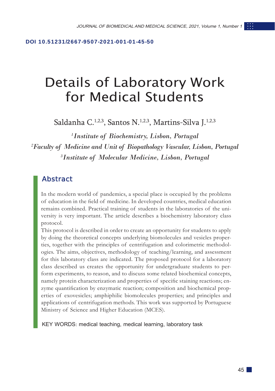#### DOI 10.51231/2667-9507-2021-001-01-45-50

# Details of Laboratory Work for Medical Students

Saldanha C.<sup>1,2,3</sup>, Santos N.<sup>1,2,3</sup>, Martins-Silva J.<sup>1,2,3</sup>

*1 Institute of Biochemistry, Lisbon, Portugal 2 Faculty of Medicine and Unit of Biopathology Vascular, Lisbon, Portugal 3 Institute of Molecular Medicine, Lisbon, Portugal*

## Abstract

In the modern world of pandemics, a special place is occupied by the problems of education in the field of medicine. In developed countries, medical education remains combined. Practical training of students in the laboratories of the university is very important. The article describes a biochemistry laboratory class protocol.

This protocol is described in order to create an opportunity for students to apply by doing the theoretical concepts underlying biomolecules and vesicles properties, together with the principles of centrifugation and colorimetric methodologies. The aims, objectives, methodology of teaching/learning, and assessment for this laboratory class are indicated. The proposed protocol for a laboratory class described us creates the opportunity for undergraduate students to perform experiments, to reason, and to discuss some related biochemical concepts, namely protein characterization and properties of specific staining reactions; enzyme quantification by enzymatic reaction; composition and biochemical properties of exovesicles; amphiphilic biomolecules properties; and principles and applications of centrifugation methods. This work was supported by Portuguese Ministry of Science and Higher Education (MCES).

KEY WORDS: medical teaching, medical learning, laboratory task

 $\dddot{\mathbf{r}}$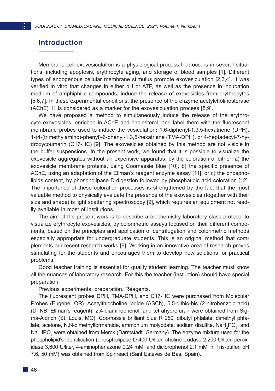# **Introduction**

Membrane cell exovesiculation is a physiological process that occurs in several situations, including apoptosis, erythrocyte aging, and storage of blood samples [1]. Different types of endogenous cellular membrane stimulus promote exovesiculation [2,3,4]. It was verified in vitro that changes in either pH or ATP, as well as the presence in incubation medium of amphiphilic compounds, induce the release of exovesicles from erythrocytes [5,6,7]. In these experimental conditions, the presence of the enzyme acetylcholinesterase (AChE) 11 is considered as a marker for the exovesiculation process [8,9].

We have proposed a method to simultaneously induce the release of the erythrocyte exovesicles, enriched in AChE and cholesterol, and label them with the fluorescent membrane probes used to induce the vesiculation: 1,6-diphenyl-1,3,5-hexatriene (DPH), 1-(4-(trimethylamino)-phenyl)-6-phenyl-1,3,5-hexatriene (TMA-DPH), or 4-heptadecyl-7-hydroxycoumarin (C17-HC) [9]. The exovesicles obtained by this method are not visible in the buffer suspensions. In the present work, we found that it is possible to visualize the exovesicle aggregates without an expensive apparatus, by the coloration of either: a) the exovesicle membrane proteins, using Coomassie blue [10]; b) the specific presence of AChE, using an adaptation of the Ellman's reagent enzyme assay [11]; or c) the phospholipids content, by phospholipase D digestion followed by phosphatidic acid coloration [12]. The importance of these coloration processes is strengthened by the fact that the most valuable method to physically evaluate the presence of the exovesicles (together with their size and shape) is light scattering spectroscopy [9], which requires an equipment not readily available in most of institutions.

The aim of the present work is to describe a biochemistry laboratory class protocol to visualize erythrocyte exovesicles, by colorimetric assays focused on their different components, based on the principles and application of centrifugation and colorimetric methods especially appropriate for undergraduate students. This is an original method that complements our recent research works [9]. Working in an innovative area of research proves stimulating for the students and encourages them to develop new solutions for practical problems.

Good teacher training is essential for quality student learning. The teacher must know all the nuances of laboratory research. For this the teacher (instuction) should have special preparation.

Previous experimental preparation. Reagents.

The fluorescent probes DPH, TMA-DPH, and C17-HC were purchased from Molecular Probes (Eugene, OR). Acetylthiocholine iodide (ASCh), 5,5-dithio-bis (2-nitrobenzoic acid) (DTNB, Ellman's reagent), 2,4-diaminophenol, and tetrahydrofuran were obtained from Sigma-Aldrich (St. Louis, MO). Coomassie brilliant blue R 250, dibutyl phtalate, dimethyl phtalate, acetone, N,N-dimethylformamide, ammonium molybdate, sodium disulfite,  $\mathsf{NaH}_{_2}\mathsf{PO}_{_4}$ , and  $\textsf{Na}_2\textsf{HPO}_4$  were obtained from Merck (Darmstadt, Germany). The enzyme mixture used for the phospholipid's identification (phospholipase D 400 U/liter, choline oxidase 2,200 U/liter, peroxidase 3,600 U/liter, 4-aminophenazone 0.24 mM, and diclorophenol 2.1 mM, in Tris-buffer, pH 7.6, 50 mM) was obtained from Spinreact (Sant Esteves de Bas, Spain).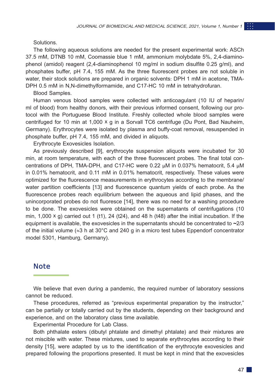Solutions.

The following aqueous solutions are needed for the present experimental work: ASCh 37.5 mM, DTNB 10 mM, Coomassie blue 1 mM, ammonium molybdate 5%, 2,4-diaminophenol (amidol) reagent (2,4-diaminophenol 10 mg/ml in sodium disulfite 0.25 g/ml), and phosphates buffer, pH 7.4, 155 mM. As the three fluorescent probes are not soluble in water, their stock solutions are prepared in organic solvents: DPH 1 mM in acetone, TMA-DPH 0.5 mM in N,N-dimethylformamide, and C17-HC 10 mM in tetrahydrofuran.

Blood Samples.

Human venous blood samples were collected with anticoagulant (10 IU of heparin/ ml of blood) from healthy donors, with their previous informed consent, following our protocol with the Portuguese Blood Institute. Freshly collected whole blood samples were centrifuged for 10 min at 1,000 x g in a Sorvall TC6 centrifuge (Du Pont, Bad Nauheim, Germany). Erythrocytes were isolated by plasma and buffy-coat removal, resuspended in phosphate buffer, pH 7.4, 155 mM, and divided in aliquots.

Erythrocyte Exovesicles Isolation.

As previously described [9], erythrocyte suspension aliquots were incubated for 30 min, at room temperature, with each of the three fluorescent probes. The final total concentrations of DPH, TMA-DPH, and C17-HC were 0.22 μM in 0.037% hematocrit, 5.4 μM in 0.01% hematocrit, and 0.11 mM in 0.01% hematocrit, respectively. These values were optimized for the fluorescence measurements in erythrocytes according to the membrane/ water partition coefficients [13] and fluorescence quantum yields of each probe. As the fluorescence probes reach equilibrium between the aqueous and lipid phases, and the unincorporated probes do not fluoresce [14], there was no need for a washing procedure to be done. The exovesicles were obtained on the supernatants of centrifugations (10 min, 1,000  $\times$  g) carried out 1 (t1), 24 (t24), and 48 h (t48) after the initial incubation. If the equipment is available, the exovesicles in the supernatants should be concentrated to  $\sim 2/3$ of the initial volume ( $\approx$ 3 h at 30°C and 240 g in a micro test tubes Eppendorf concentrator model 5301, Hamburg, Germany).

#### Note

We believe that even during a pandemic, the required number of laboratory sessions cannot be reduced.

These procedures, referred as "previous experimental preparation by the instructor," can be partially or totally carried out by the students, depending on their background and experience, and on the laboratory class time available.

Experimental Procedure for Lab Class.

Both phthalate esters (dibutyl phtalate and dimethyl phtalate) and their mixtures are not miscible with water. These mixtures, used to separate erythrocytes according to their density [15], were adapted by us to the identification of the erythrocyte exovesicles and prepared following the proportions presented. It must be kept in mind that the exovesicles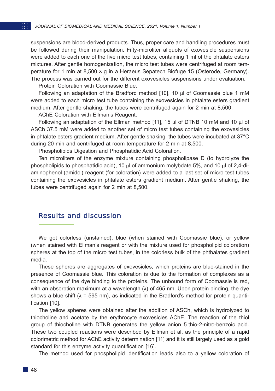suspensions are blood-derived products. Thus, proper care and handling procedures must be followed during their manipulation. Fifty-microliter aliquots of exovesicle suspensions were added to each one of the five micro test tubes, containing 1 ml of the phtalate esters mixtures. After gentle homogenization, the micro test tubes were centrifuged at room temperature for 1 min at 8,500 x g in a Heraeus Sepatech Biofuge 15 (Osterode, Germany). The process was carried out for the different exovesicles suspensions under evaluation.

Protein Coloration with Coomassie Blue.

Following an adaptation of the Bradford method [10], 10 μl of Coomassie blue 1 mM were added to each micro test tube containing the exovesicles in phtalate esters gradient medium. After gentle shaking, the tubes were centrifuged again for 2 min at 8,500.

AChE Coloration with Ellman's Reagent.

Following an adaptation of the Ellman method [11], 15 μl of DTNB 10 mM and 10 μl of ASCh 37.5 mM were added to another set of micro test tubes containing the exovesicles in phtalate esters gradient medium. After gentle shaking, the tubes were incubated at 37°C during 20 min and centrifuged at room temperature for 2 min at 8,500.

Phospholipids Digestion and Phosphatidic Acid Coloration.

Ten microliters of the enzyme mixture containing phospholipase D (to hydrolyze the phospholipids to phosphatidic acid), 10 μl of ammonium molybdate 5%, and 10 μl of 2,4-diaminophenol (amidol) reagent (for coloration) were added to a last set of micro test tubes containing the exovesicles in phtalate esters gradient medium. After gentle shaking, the tubes were centrifuged again for 2 min at 8,500.

## **Results and discussion**

We got colorless (unstained), blue (when stained with Coomassie blue), or yellow (when stained with Ellman's reagent or with the mixture used for phospholipid coloration) spheres at the top of the micro test tubes, in the colorless bulk of the phthalates gradient media.

These spheres are aggregates of exovesicles, which proteins are blue-stained in the presence of Coomassie blue. This coloration is due to the formation of complexes as a consequence of the dye binding to the proteins. The unbound form of Coomassie is red, with an absorption maximum at a wavelength  $(\lambda)$  of 465 nm. Upon protein binding, the dye shows a blue shift ( $\lambda$  = 595 nm), as indicated in the Bradford's method for protein quantification [10].

The yellow spheres were obtained after the addition of ASCh, which is hydrolyzed to thiocholine and acetate by the erythrocyte exovesicles AChE. The reaction of the thiol group of thiocholine with DTNB generates the yellow anion 5-thio-2-nitro-benzoic acid. These two coupled reactions were described by Ellman et al. as the principle of a rapid colorimetric method for AChE activity determination [11] and it is still largely used as a gold standard for this enzyme activity quantification [16].

The method used for phospholipid identification leads also to a yellow coloration of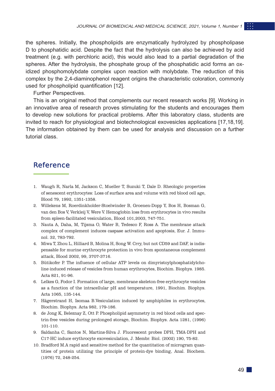the spheres. Initially, the phospholipids are enzymatically hydrolyzed by phospholipase D to phosphatidic acid. Despite the fact that the hydrolysis can also be achieved by acid treatment (e.g. with perchloric acid), this would also lead to a partial degradation of the spheres. After the hydrolysis, the phosphate group of the phosphatidic acid forms an oxidized phosphomolybdate complex upon reaction with molybdate. The reduction of this complex by the 2,4-diaminophenol reagent origins the characteristic coloration, commonly used for phospholipid quantification [12].

Further Perspectives.

This is an original method that complements our recent research works [9]. Working in an innovative area of research proves stimulating for the students and encourages them to develop new solutions for practical problems. After this laboratory class, students are invited to reach for physiological and biotechnological exovesicles applications [17,18,19]. The information obtained by them can be used for analysis and discussion on a further tutorial class.

# Reference

- 1. Waugh R, Narla M, Jackson C, Mueller T, Suzuki T, Dale D. Rheologic properties of senescent erythrocytes: Loss of surface area and volume with red blood cell age, Blood 79, 1992, 1351-1358.
- 2. Willekens M, Roerdinkholder-Stoelwinder B, Groenen-Dopp Y, Bos H, Bosman G, van den Bos V, Verkleij V, Were V. Hemoglobin loss from erythrocytes in vivo results from spleen-facilitated vesiculation, Blood 101,2003, 747-751.
- 3. Nauta A, Daha, M, Tijsma O, Water B, Tedesco F, Ross A. The membrane attack complex of complement induces caspase activation and apoptosis, Eur. J. Immunol. 32, 783-792.
- 4. Miwa T, Zhou L, Hilliard B, Molina H, Song W. Crry, but not CD59 and DAF, is indispensable for murine erythrocyte protection in vivo from spontaneous complement attack, Blood 2002, 99, 3707-3716.
- 5. Bütikofer P. The influence of cellular ATP levels on dimyristoylphosphatidylcholine-induced release of vesicles from human erythrocytes, Biochim. Biophys. 1985. Acta 821, 91-96.
- 6. Lelkes G, Fodor I. Formation of large, membrane skeleton-free erythrocyte vesicles as a function of the intracellular pH and temperature, 1991, Biochim. Biophys. Acta 1065, 135-144.
- 7. Hägerstrand H, Isomaa B.Vesiculation induced by amphiphiles in erythrocytes, Biochim. Biophys. Acta 982, 179-186.
- 8. de Jong K, Beleznay Z, Ott P. Phospholipid asymmetry in red blood cells and spectrin-free vesicles during prolonged storage, Biochim. Biophys. Acta 1281, (1996) 101-110.
- 9. Saldanha C, Santos N, Martins-Silva J. Fluorescent probes DPH, TMA-DPH and C17-HC induce erythrocyte exovesiculation, J. Membr. Biol. (2002) 190, 75-82.
- 10. Bradford M.A rapid and sensitive method for the quantitation of microgram quantities of protein utilizing the principle of protein-dye binding, Anal. Biochem. (1976) 72, 248-254.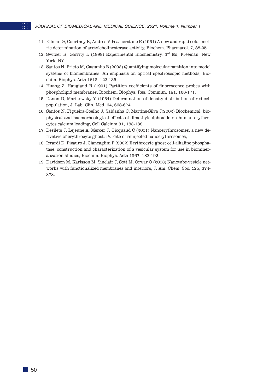- 11. Ellman G, Courtney K, Andres V, Featherstone R (1961) A new and rapid colorimetric determination of acetylcholinesterase activity, Biochem. Pharmacol. 7, 88-95.
- 12. Switzer R, Garrity L (1999) Experimental Biochemistry, 3rd Ed, Freeman, New York, NY.
- 13. Santos N, Prieto M, Castanho B (2003) Quantifying molecular partition into model systems of biomembranes. An emphasis on optical spectroscopic methods, Biochim. Biophys. Acta 1612, 123-135.
- 14. Huang Z, Haugland R (1991) Partition coefficients of fluorescence probes with phospholipid membranes, Biochem. Biophys. Res. Commun. 181, 166-171.
- 15. Danon D, Marikowsky Y. (1964) Determination of density distribution of red cell population, J. Lab. Clin. Med. 64, 668-674.
- 16. Santos N, Figueira-Coelho J, Saldanha C, Martins-Silva J(2002) Biochemical, biophysical and haemorheological effects of dimethylsulphoxide on human erythrocytes calcium loading, Cell Calcium 31, 183-188.
- 17. Desilets J, Lejeune A, Mercer J, Gicquaud C (2001) Nanoerythrosomes, a new derivative of erythrocyte ghost: IV. Fate of reinjected nanoerythrosomes,
- 18. Ierardi D, Pizauro J, Ciancaglini P (2002) Erythrocyte ghost cell-alkaline phosphatase: construction and characterization of a vesicular system for use in biomineralization studies, Biochim. Biophys. Acta 1567, 183-192.
- 19. Davidson M, Karlsson M, Sinclair J, Sott M, Orwar O (2003) Nanotube-vesicle networks with functionalized membranes and interiors, J. Am. Chem. Soc. 125, 374- 378.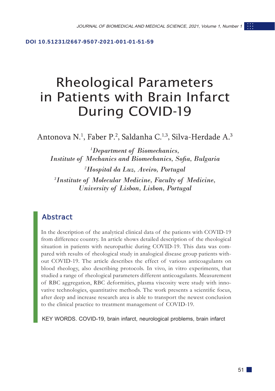#### DOI 10.51231/2667-9507-2021-001-01-51-59

# Rheological Parameters in Patients with Brain Infarct During COVID-19

Antonova N.<sup>1</sup>, Faber P.<sup>2</sup>, Saldanha C.<sup>1,3</sup>, Silva-Herdade A.<sup>3</sup>

*1 Department of Biomechanics, Institute of Mechanics and Biomechanics, Sofia, Bulgaria 2 Hospital da Luz, Aveiro, Portugal 3 Institute of Molecular Medicine, Faculty of Medicine, University of Lisbon, Lisbon, Portugal*

## Abstract

In the description of the analytical clinical data of the patients with COVID-19 from difference country. In article shows detailed description of the rheological situation in patients with neuropathic during COVID-19. This data was compared with results of rheological study in analogical disease group patients without COVID-19. The article describes the effect of various anticoagulants on blood rheology, also describing protocols. In vivo, in vitro experiments, that studied a range of rheological parameters different anticoagulants. Measurement of RBC aggregation, RBC deformities, plasma viscosity were study with innovative technologies, quantitative methods. The work presents a scientific focus, after deep and increase research area is able to transport the newest conclusion to the clinical practice to treatment management of COVID-19.

KEY WORDS. COVID-19, brain infarct, neurological problems, brain infarct

 $\dddot{\mathbf{r}}$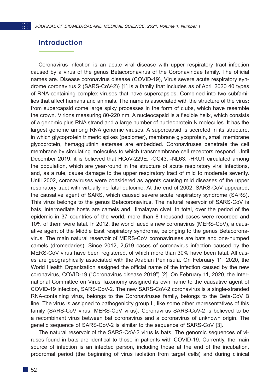# Introduction

Coronavirus infection is an acute viral disease with upper respiratory tract infection caused by a virus of the genus Betacoronavirus of the Coronaviridae family. The official names are: Disease coronavirus disease (COVID-19); Virus severe acute respiratory syndrome coronavirus 2 (SARS-CoV-2)) [1] is a family that includes as of April 2020 40 types of RNA-containing complex viruses that have supercapsids. Combined into two subfamilies that affect humans and animals. The name is associated with the structure of the virus: from supercapsid come large spiky processes in the form of clubs, which have resemble the crown. Virions measuring 80-220 nm. A nucleocapsid is a flexible helix, which consists of a genomic plus RNA strand and a large number of nucleoprotein N molecules. It has the largest genome among RNA genomic viruses. A supercapsid is secreted in its structure, in which glycoprotein trimeric spikes (peplomer), membrane glycoprotein, small membrane glycoprotein, hemagglutinin esterase are embedded. Coronaviruses penetrate the cell membrane by simulating molecules to which transmembrane cell receptors respond. Until December 2019, it is believed that HCoV-229E, -OC43, -NL63, -HKU1 circulated among the population, which are year-round in the structure of acute respiratory viral infections, and, as a rule, cause damage to the upper respiratory tract of mild to moderate severity. Until 2002, coronaviruses were considered as agents causing mild diseases of the upper respiratory tract with virtually no fatal outcome. At the end of 2002, SARS-CoV appeared, the causative agent of SARS, which caused severe acute respiratory syndrome (SARS). This virus belongs to the genus Betacoronavirus. The natural reservoir of SARS-CoV is bats, intermediate hosts are camels and Himalayan civet. In total, over the period of the epidemic in 37 countries of the world, more than 8 thousand cases were recorded and 10% of them were fatal. In 2012, the world faced a new coronavirus (MERS-CoV), a causative agent of the Middle East respiratory syndrome, belonging to the genus Betacoronavirus. The main natural reservoir of MERS-CoV coronaviruses are bats and one-humped camels (dromedaries). Since 2012, 2,519 cases of coronavirus infection caused by the MERS-CoV virus have been registered, of which more than 30% have been fatal. All cases are geographically associated with the Arabian Peninsula. On February 11, 2020, the World Health Organization assigned the official name of the infection caused by the new coronavirus, COVID-19 ("Coronavirus disease 2019") [2]. On February 11, 2020, the International Committee on Virus Taxonomy assigned its own name to the causative agent of COVID-19 infection, SARS-CoV-2. The new SARS-CoV-2 coronavirus is a single-stranded RNA-containing virus, belongs to the Coronaviruses family, belongs to the Beta-CoV B line. The virus is assigned to pathogenicity group II, like some other representatives of this family (SARS-CoV virus, MERS-CoV virus). Coronavirus SARS-CoV-2 is believed to be a recombinant virus between bat coronavirus and a coronavirus of unknown origin. The genetic sequence of SARS-CoV-2 is similar to the sequence of SARS-CoV [3].

The natural reservoir of the SARS-CoV-2 virus is bats. The genomic sequences of viruses found in bats are identical to those in patients with COVID-19. Currently, the main source of infection is an infected person, including those at the end of the incubation, prodromal period (the beginning of virus isolation from target cells) and during clinical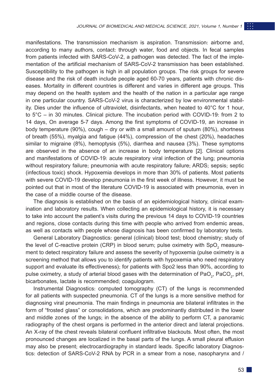manifestations. The transmission mechanism is aspiration. Transmission: airborne and, according to many authors, contact: through water, food and objects. In fecal samples from patients infected with SARS-CoV-2, a pathogen was detected. The fact of the implementation of the artificial mechanism of SARS-CoV-2 transmission has been established. Susceptibility to the pathogen is high in all population groups. The risk groups for severe disease and the risk of death include people aged 60-70 years, patients with chronic diseases. Mortality in different countries is different and varies in different age groups. This may depend on the health system and the health of the nation in a particular age range in one particular country. SARS-CoV-2 virus is characterized by low environmental stability. Dies under the influence of ultraviolet, disinfectants, when heated to 40°C for 1 hour, to 5°C – in 30 minutes. Clinical picture. The incubation period with COVID-19: from 2 to 14 days, On average 5-7 days. Among the first symptoms of COVID-19, an increase in body temperature (90%), cough – dry or with a small amount of sputum (80%), shortness of breath (55%), myalgia and fatigue (44%), compression of the chest (20%), headaches similar to migraine (8%), hemoptysis (5%), diarrhea and nausea (3%). These symptoms are observed in the absence of an increase in body temperature [2]. Clinical options and manifestations of COVID-19: acute respiratory viral infection of the lung; pneumonia

without respiratory failure; pneumonia with acute respiratory failure; ARDS; sepsis; septic (infectious toxic) shock. Hypoxemia develops in more than 30% of patients. Most patients with severe COVID-19 develop pneumonia in the first week of illness. However, it must be pointed out that in most of the literature COVID-19 is associated with pneumonia, even in the case of a middle course of the disease.

The diagnosis is established on the basis of an epidemiological history, clinical examination and laboratory results. When collecting an epidemiological history, it is necessary to take into account the patient's visits during the previous 14 days to COVID-19 countries and regions, close contacts during this time with people who arrived from endemic areas, as well as contacts with people whose diagnosis has been confirmed by laboratory tests.

General Laboratory Diagnostics: general (clinical) blood test; blood chemistry; study of the level of C-reactive protein (CRP) in blood serum; pulse oximetry with SpO $_{\textrm{\tiny{2}}}$  measurement to detect respiratory failure and assess the severity of hypoxemia (pulse oximetry is a screening method that allows you to identify patients with hypoxemia who need respiratory support and evaluate its effectiveness); for patients with Spo2 less than 90%, according to pulse oximetry, a study of arterial blood gases with the determination of PaO<sub>2</sub>, PaCO<sub>2</sub>, pH, bicarbonates, lactate is recommended; coagulogram.

Instrumental Diagnostics: computed tomography (CT) of the lungs is recommended for all patients with suspected pneumonia. CT of the lungs is a more sensitive method for diagnosing viral pneumonia. The main findings in pneumonia are bilateral infiltrates in the form of "frosted glass" or consolidations, which are predominantly distributed in the lower and middle zones of the lungs; in the absence of the ability to perform CT, a panoramic radiography of the chest organs is performed in the anterior direct and lateral projections. An X-ray of the chest reveals bilateral confluent infiltrative blackouts. Most often, the most pronounced changes are localized in the basal parts of the lungs. A small pleural effusion may also be present; electrocardiography in standard leads. Specific laboratory Diagnostics: detection of SARS-CoV-2 RNA by PCR in a smear from a nose, nasopharynx and /

33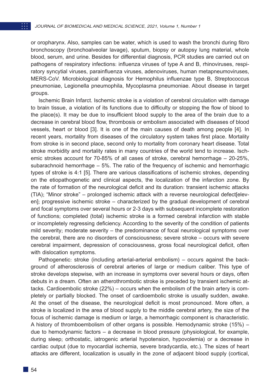or oropharynx. Also, samples can be water, which is used to wash the bronchi during fibro bronchoscopy (bronchoalveolar lavage), sputum, biopsy or autopsy lung material, whole blood, serum, and urine. Besides for differential diagnosis, PCR studies are carried out on pathogens of respiratory infections: influenza viruses of type A and B, rhinoviruses, respiratory syncytial viruses, parainfluenza viruses, adenoviruses, human metapneumoviruses, MERS-CoV. Microbiological diagnosis for Hemophilus influenzae type B, Streptococcus pneumoniae, Legionella pneumophila, Mycoplasma pneumoniae. About disease in target groups.

Ischemic Brain Infarct. Ischemic stroke is a violation of cerebral circulation with damage to brain tissue, a violation of its functions due to difficulty or stopping the flow of blood to the place(s). It may be due to insufficient blood supply to the area of the brain due to a decrease in cerebral blood flow, thrombosis or embolism associated with diseases of blood vessels, heart or blood [3]. It is one of the main causes of death among people [4]. In recent years, mortality from diseases of the circulatory system takes first place. Mortality from stroke is in second place, second only to mortality from coronary heart disease. Total stroke morbidity and mortality rates in many countries of the world tend to increase. Ischemic strokes account for 70-85% of all cases of stroke, cerebral hemorrhage – 20-25%, subarachnoid hemorrhage – 5%. The ratio of the frequency of ischemic and hemorrhagic types of stroke is 4:1 [5]. There are various classifications of ischemic strokes, depending on the etiopathogenetic and clinical aspects, the localization of the infarction zone. By the rate of formation of the neurological deficit and its duration: transient ischemic attacks (TIA); "Minor stroke" – prolonged ischemic attack with a reverse neurological defect[eleven]; progressive ischemic stroke – characterized by the gradual development of cerebral and focal symptoms over several hours or 2-3 days with subsequent incomplete restoration of functions; completed (total) ischemic stroke is a formed cerebral infarction with stable or incompletely regressing deficiency. According to the severity of the condition of patients mild severity; moderate severity – the predominance of focal neurological symptoms over the cerebral, there are no disorders of consciousness; severe stroke – occurs with severe cerebral impairment, depression of consciousness, gross focal neurological deficit, often with dislocation symptoms.

Pathogenetic: stroke (including arterial-arterial embolism) – occurs against the background of atherosclerosis of cerebral arteries of large or medium caliber. This type of stroke develops stepwise, with an increase in symptoms over several hours or days, often debuts in a dream. Often an atherothrombotic stroke is preceded by transient ischemic attacks. Cardioembolic stroke (22%) – occurs when the embolism of the brain artery is completely or partially blocked. The onset of cardioembolic stroke is usually sudden, awake. At the onset of the disease, the neurological deficit is most pronounced. More often, a stroke is localized in the area of blood supply to the middle cerebral artery, the size of the focus of ischemic damage is medium or large, a hemorrhagic component is characteristic. A history of thromboembolism of other organs is possible. Hemodynamic stroke (15%) – due to hemodynamic factors – a decrease in blood pressure (physiological, for example, during sleep; orthostatic, iatrogenic arterial hypotension, hypovolemia) or a decrease in cardiac output (due to myocardial ischemia, severe bradycardia, etc.). The sizes of heart attacks are different, localization is usually in the zone of adjacent blood supply (cortical,

HH.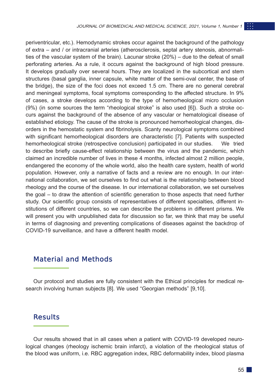periventricular, etc.). Hemodynamic strokes occur against the background of the pathology of extra – and / or intracranial arteries (atherosclerosis, septal artery stenosis, abnormalities of the vascular system of the brain). Lacunar stroke (20%) – due to the defeat of small perforating arteries. As a rule, it occurs against the background of high blood pressure. It develops gradually over several hours. They are localized in the subcortical and stem structures (basal ganglia, inner capsule, white matter of the semi-oval center, the base of the bridge), the size of the foci does not exceed 1.5 cm. There are no general cerebral and meningeal symptoms, focal symptoms corresponding to the affected structure. In 9% of cases, a stroke develops according to the type of hemorheological micro occlusion (9%) (in some sources the term "rheological stroke" is also used [6]). Such a stroke occurs against the background of the absence of any vascular or hematological disease of established etiology. The cause of the stroke is pronounced hemorheological changes, disorders in the hemostatic system and fibrinolysis. Scanty neurological symptoms combined with significant hemorheological disorders are characteristic [7]. Patients with suspected hemorheological stroke (retrospective conclusion) participated in our studies. We tried to describe briefly cause-effect relationship between the virus and the pandemic, which claimed an incredible number of lives in these 4 months, infected almost 2 million people, endangered the economy of the whole world, also the health care system, health of world population. However, only a narrative of facts and a review are no enough. In our international collaboration, we set ourselves to find out what is the relationship between blood rheology and the course of the disease. In our international collaboration, we set ourselves the goal – to draw the attention of scientific generation to those aspects that need further study. Our scientific group consists of representatives of different specialties, different institutions of different countries, so we can describe the problems in different prisms. We will present you with unpublished data for discussion so far, we think that may be useful in terms of diagnosing and preventing complications of diseases against the backdrop of COVID-19 surveillance, and have a different health model.

# **Material and Methods**

Our protocol and studies are fully consistent with the Ethical principles for medical research involving human subjects [8]. We used "Georgian methods" [9,10].

## **Results**

Our results showed that in all cases when a patient with COVID-19 developed neurological changes (rheology ischemic brain infarct), a violation of the rheological status of the blood was uniform, i.e. RBC aggregation index, RBC deformability index, blood plasma

 $\dddot{\mathbf{z}}$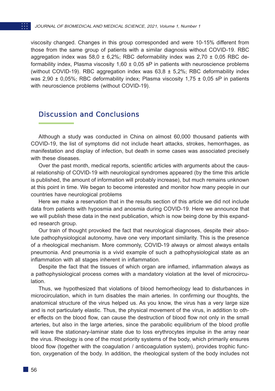viscosity changed. Changes in this group corresponded and were 10-15% different from those from the same group of patients with a similar diagnosis without COVID-19. RBC aggregation index was 58,0  $\pm$  6,2%; RBC deformability index was 2,70  $\pm$  0,05 RBC deformability index, Plasma viscosity  $1,60 \pm 0.05$  sP in patients with neuroscience problems (without COVID-19). RBC aggregation index was  $63.8 \pm 5.2\%$ ; RBC deformability index was 2,90  $\pm$  0,05%; RBC deformability index; Plasma viscosity 1,75  $\pm$  0,05 sP in patients with neuroscience problems (without COVID-19).

# **Discussion and Conclusions**

Although a study was conducted in China on almost 60,000 thousand patients with COVID-19, the list of symptoms did not include heart attacks, strokes, hemorrhages, as manifestation and display of infection, but death in some cases was associated precisely with these diseases

Over the past month, medical reports, scientific articles with arguments about the causal relationship of COVID-19 with neurological syndromes appeared (by the time this article is published, the amount of information will probably increase), but much remains unknown at this point in time. We began to become interested and monitor how many people in our countries have neurological problems

Here we make a reservation that in the results section of this article we did not include data from patients with hyposmia and anosmia during COVID-19. Here we announce that we will publish these data in the next publication, which is now being done by this expanded research group.

Our train of thought provoked the fact that neurological diagnoses, despite their absolute pathophysiological autonomy, have one very important similarity. This is the presence of a rheological mechanism. More commonly, COVID-19 always or almost always entails pneumonia. And pneumonia is a vivid example of such a pathophysiological state as an inflammation with all stages inherent in inflammation.

Despite the fact that the tissues of which organ are inflamed, inflammation always as a pathophysiological process comes with a mandatory violation at the level of microcirculation.

Thus, we hypothesized that violations of blood hemorheology lead to disturbances in microcirculation, which in turn disables the main arteries. In confirming our thoughts, the anatomical structure of the virus helped us. As you know, the virus has a very large size and is not particularly elastic. Thus, the physical movement of the virus, in addition to other effects on the blood flow, can cause the destruction of blood flow not only in the small arteries, but also in the large arteries, since the parabolic equilibrium of the blood profile will leave the stationary-laminar state due to loss erythrocytes impulse in the array near the virus. Rheology is one of the most priority systems of the body, which primarily ensures blood flow (together with the coagulation / anticoagulation system), provides trophic function, oxygenation of the body. In addition, the rheological system of the body includes not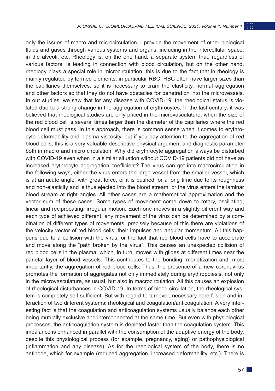only the issues of macro and microcirculation, I provide the movement of other biological fluids and gases through various systems and organs, including in the intercellular space, in the alveoli, etc. Rheology is, on the one hand, a separate system that, regardless of various factors, is leading in connection with blood circulation, but on the other hand, rheology plays a special role in microcirculation. this is due to the fact that in rheology is mainly regulated by formed elements, in particular RBC. RBC often have larger sizes than the capillaries themselves, so it is necessary to cram the elasticity, normal aggregation and other factors so that they do not have obstacles for penetration into the microvessels. In our studies, we saw that for any disease with COVID-19, the rheological status is violated due to a strong change in the aggregation of erythrocytes. In the last century, it was believed that rheological studies are only priced in the microvasculature, when the size of the red blood cell is several times larger than the diameter of the capillaries where the red blood cell must pass. In this approach, there is common sense when it comes to erythrocyte deformability and plasma viscosity, but if you pay attention to the aggregation of red blood cells, this is a very valuable descriptive physical argument and diagnostic parameter both in macro and micro circulation. Why did erythrocyte aggregation always be disturbed with COVID-19 even when in a similar situation without COVID-19 patients did not have an increased erythrocyte aggregation coefficient? The virus can get into macrocirculation in the following ways, either the virus enters the large vessel from the smaller vessel, which is at an acute angle, with great force, or it is pushed for a long time due to its roughness and non-elasticity and is thus ejected into the blood stream, or the virus enters the laminar blood stream at right angles. All other cases are a mathematical approximation and the vector sum of these cases. Some types of movement come down to rotary, oscillating, linear and reciprocating, irregular motion. Each one moves in a slightly different way and each type of achieved different. any movement of the virus can be determined by a combination of different types of movements, precisely because of this there are violations of the velocity vector of red blood cells, their impulses and angular momentum. All this happens due to a collision with the virus, or the fact that red blood cells have to accelerate and move along the "path broken by the virus". This causes an unexpected collision of red blood cells in the plasma, which, in turn, moves with glides at different times near the parietal layer of blood vessels. This contributes to the bonding, monetization and, most importantly, the aggregation of red blood cells. Thus, the presence of a new coronavirus promotes the formation of aggregates not only immediately during erythropoiesis, not only in the microvasculature, as usual, but also in macrocirculation. All this causes an explosion of rheological disturbances in COVID-19. In terms of blood circulation, the rheological system is completely self-sufficient. But with regard to turnover, necessary here fusion and interaction of two different systems: rheological and coagulation/anticoagulation. A very interesting fact is that the coagulation and anticoagulation systems usually balance each other being mutually exclusive and interconnected at the same time. But even with physiological processes, the anticoagulation system is depleted faster than the coagulation system. This imbalance is enhanced in parallel with the consumption of the adaptive energy of the body, despite this physiological process (for example, pregnancy, aging) or pathophysiological (inflammation and any disease). As for the rheological system of the body, there is no antipode, which for example (reduced aggregation, increased deformability, etc.). There is

33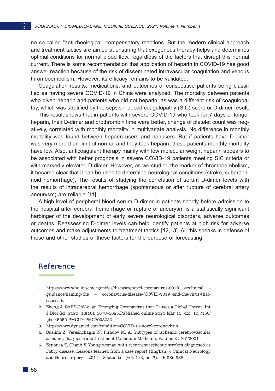no so-called "anti-rheological" compensatory reactions. But the modern clinical approach and treatment tactics are aimed at ensuring that exogenous therapy helps and determines optimal conditions for normal blood flow, regardless of the factors that disrupt this normal current. There is some recommendation that application of heparin in COVID-19 has good answer reaction because of the risk of disseminated intravascular coagulation and venous thromboembolism. However, its efficacy remains to be validated.

Coagulation results, medications, and outcomes of consecutive patients being classified as having severe COVID-19 in China were analyzed. The mortality between patients who given heparin and patients who did not heparin, as was a different risk of coagulopathy, which was stratified by the sepsis-induced coagulopathy (SIC) score or D-dimer result.

This result shows that in patients with severe COVID-19 who took for 7 days or longer heparin, their D-dimer and prothrombin time were better, change of platelet count was negatively, correlated with monthly mortality in multivariate analysis. No difference in monthly mortality was found between heparin users and nonusers. But if patients have D-dimer was very more than limit of normal and they took heparin, these patients monthly mortality have low. Also, anticoagulant therapy mainly with low molecular weight heparin appears to be associated with better prognosis in severe COVID-19 patients meeting SIC criteria or with markedly elevated D-dimer. However, as we studied the marker of thromboembolism, it became clear that it can be used to determine neurological conditions (stroke, subarachnoid hemorrhage). The results of studying the correlation of serum D-dimer levels with the results of intracerebral hemorrhage (spontaneous or after rupture of cerebral artery aneurysm) are reliable [11].

A high level of peripheral blood serum D-dimer in patients shortly before admission to the hospital after cerebral hemorrhage or rupture of aneurysm is a statistically significant harbinger of the development of early severe neurological disorders, adverse outcomes or deaths. Reassessing D-dimer levels can help identify patients at high risk for adverse outcomes and make adjustments to treatment tactics [12,13]. All this speaks in defense of these and other studies of these factors for the purpose of forecasting.

## Reference

- 1. https://www.who.int/emergencies/diseases/novel-coronavirus-2019 /technical guidance/naming-the – coronavirus-disease-(COVID-2019)-and-the-virus-thatcauses-it
- 2. Zheng J. SARS-CoV-2: an Emerging Coronavirus that Causes a Global Threat. Int J Biol Sci. 2020; 16(10): 1678–1685.Published online 2020 Mar 15. doi: 10.7150/ ijbs.45053 PMCID: PMC7098030
- 3. https://www.dynamed.com/condition/COVID-19-novel-coronavirus
- 4. Suslina Z, Vereshchagin N, Piradov M. A. Subtypes of ischemic cerebrovascular accident: diagnosis and treatment Consilium Medicum, Volume 3 / N 5/2001
- 5. Zenonea T, Chanb V. Young woman with recurrent ischemic strokes diagnosed as Fabry disease: Lessons learned from a case report (English) // Clinical Neurology and Neurosurgery. – 2011 – September (vol. 113, no. 7). – P. 586-588

Ħ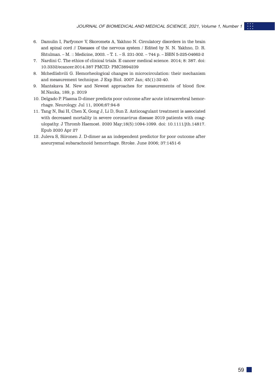- 6. Damulin I, Parfyonov V, Skoromets A, Yakhno N. Circulatory disorders in the brain and spinal cord // Diseases of the nervous system / Edited by N. N. Yakhno, D. R. Shtulman. – M. :: Medicine, 2003. – T. 1. – S. 231-302. – 744 p. – ISBN 5-225-04662-2
- 7. Nardini C. The ethics of clinical trials. E cancer medical science. 2014; 8: 387. doi: 10.3332/ecancer.2014.387 PMCID: PMC3894239
- 8. Mchedlishvili G. Hemorheological changes in microcirculation: their mechanism and measurement technique. J Exp Biol. 2007 Jan; 45(1):32-40.
- 9. Mantskava M. New and Newest approaches for measurements of blood flow. M.Nauka, 189, p. 2019
- 10. Delgado P. Plasma D-dimer predicts poor outcome after acute intracerebral hemorrhage. Neurology. Jul 11, 2006;67:94-8
- 11. Tang N, Bai H, Chen X, Gong J, Li D, Sun Z. Anticoagulant treatment is associated with decreased mortality in severe coronavirus disease 2019 patients with coagulopathy. J Thromb Haemost. 2020 May;18(5):1094-1099. doi: 10.1111/jth.14817. Epub 2020 Apr 27
- 12. Juleva S, Siironen J. D-dimer as an independent predictor for poor outcome after aneurysmal subarachnoid hemorrhage. Stroke. June 2006; 37:1451-6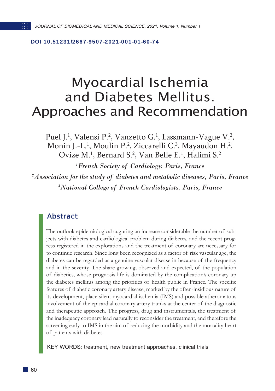DOI 10.51231/2667-9507-2021-001-01-60-74

# Myocardial Ischemia and Diabetes Mellitus. Approaches and Recommendation

Puel J.<sup>1</sup>, Valensi P.<sup>2</sup>, Vanzetto G.<sup>1</sup>, Lassmann-Vague V.<sup>2</sup>, Monin J.-L.<sup>1</sup>, Moulin P.<sup>2</sup>, Ziccarelli C.<sup>3</sup>, Mayaudon H.<sup>2</sup>, Ovize M.1 , Bernard S.2 , Van Belle E.1 , Halimi S.2

*1 French Society of Cardiology, Paris, France*

*2 Association for the study of diabetes and metabolic diseases, Paris, France 3 National College of French Cardiologists, Paris, France*

## Abstract

The outlook epidemiological auguring an increase considerable the number of subjects with diabetes and cardiological problem during diabetes, and the recent progress registered in the explorations and the treatment of coronary are necessary for to continue research. Since long been recognized as a factor of risk vascular age, the diabetes can be regarded as a genuine vascular disease in because of the frequency and in the severity. The share growing, observed and expected, of the population of diabetics, whose prognosis life is dominated by the complication's coronary up the diabetes mellitus among the priorities of health public in France. The specific features of diabetic coronary artery disease, marked by the often-insidious nature of its development, place silent myocardial ischemia (IMS) and possible atheromatous involvement of the epicardial coronary artery trunks at the center of the diagnostic and therapeutic approach. The progress, drug and instrumentals, the treatment of the inadequacy coronary lead naturally to reconsider the treatment, and therefore the screening early to IMS in the aim of reducing the morbidity and the mortality heart of patients with diabetes.

KEY WORDS: treatment, new treatment approaches, clinical trials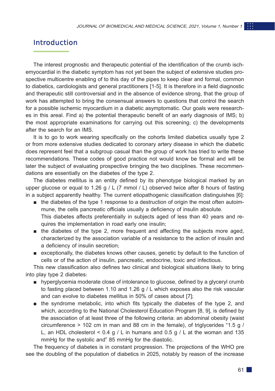## Introduction

The interest prognostic and therapeutic potential of the identification of the crumb ischemyocardial in the diabetic symptom has not yet been the subject of extensive studies prospective multicentre enabling of to this day of the pipes to keep clear and formal, common to diabetics, cardiologists and general practitioners [1-5]. It is therefore in a field diagnostic and therapeutic still controversial and in the absence of evidence strong, that the group of work has attempted to bring the consensual answers to questions that control the search for a possible ischemic myocardium in a diabetic asymptomatic. Our goals were researches in this areal. Find a) the potential therapeutic benefit of an early diagnosis of IMS; b) the most appropriate examinations for carrying out this screening; c) the developments after the search for an IMS.

It is to go to work wearing specifically on the cohorts limited diabetics usually type 2 or from more extensive studies dedicated to coronary artery disease in which the diabetic does represent feel that a subgroup casual than the group of work has tried to write these recommendations. These codes of good practice not would know be formal and will be later the subject of evaluating prospective bringing the two disciplines. These recommendations are essentially on the diabetes of the type 2.

The diabetes mellitus is an entity defined by its phenotype biological marked by an upper glucose or equal to 1.26 g / L (7 mmol / L) observed twice after 8 hours of fasting in a subject apparently healthy. The current etiopathogenic classification distinguishes [6]:

- the diabetes of the type 1 response to a destruction of origin the most often autoimmune, the cells pancreatic officials usually a deficiency of insulin absolute. This diabetes affects preferentially in subjects aged of less than 40 years and requires the implementation in road early one insulin;
- the diabetes of the type 2, more frequent and affecting the subjects more aged, characterized by the association variable of a resistance to the action of insulin and a deficiency of insulin secretion;
- exceptionally, the diabetes knows other causes, genetic by default to the function of cells or of the action of insulin, pancreatic, endocrine, toxic and infectious.

This new classification also defines two clinical and biological situations likely to bring into play type 2 diabetes:

- hyperglycemia moderate close of intolerance to glucose, defined by a glyceryl crumb to fasting placed between 1.10 and 1.26 g / L which exposes also the risk vascular and can evolve to diabetes mellitus in 50% of cases about [7];
- the syndrome metabolic, into which fits typically the diabetes of the type 2, and which, according to the National Cholesterol Education Program [8, 9], is defined by the association of at least three of the following criteria: an abdominal obesity (waist circumference > 102 cm in man and 88 cm in the female), of triglycerides "1.5 g / L, an HDL cholesterol  $\leq 0.4$  g / L in humans and 0.5 g / L at the woman and 135 mmHg for the systolic and" 85 mmHg for the diastolic.

The frequency of diabetes is in constant progression. The projections of the WHO pre see the doubling of the population of diabetics in 2025, notably by reason of the increase

 $\dddot{\mathbf{z}}$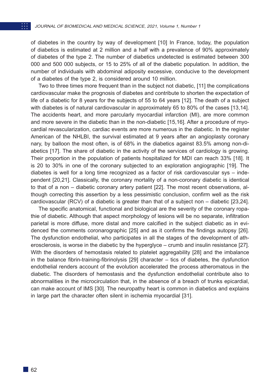of diabetes in the country by way of development [10] In France, today, the population of diabetics is estimated at 2 million and a half with a prevalence of 90% approximately of diabetes of the type 2. The number of diabetics undetected is estimated between 300 000 and 500 000 subjects, or 15 to 25% of all of the diabetic population. In addition, the number of individuals with abdominal adiposity excessive, conducive to the development of a diabetes of the type 2, is considered around 10 million.

Two to three times more frequent than in the subject not diabetic, [11] the complications cardiovascular make the prognosis of diabetes and contribute to shorten the expectation of life of a diabetic for 8 years for the subjects of 55 to 64 years [12]. The death of a subject with diabetes is of natural cardiovascular in approximately 65 to 80% of the cases [13,14]. The accidents heart, and more parcularly myocardial infarction (MI), are more common and more severe in the diabetic than in the non-diabetic [15,16]. After a procedure of myocardial revascularization, cardiac events are more numerous in the diabetic. In the register American of the NHLBI, the survival estimated at 9 years after an angioplasty coronary nary, by balloon the most often, is of 68% in the diabetics against 83.5% among non-diabetics [17]. The share of diabetic in the activity of the services of cardiology is growing. Their proportion in the population of patients hospitalized for MDI can reach 33% [18]. It is 20 to 30% in one of the coronary subjected to an exploration angiographic [19]. The diabetes is well for a long time recognized as a factor of risk cardiovascular sys – independent [20,21]. Classically, the coronary mortality of a non-coronary diabetic is identical to that of a non – diabetic coronary artery patient [22]. The most recent observations, although correcting this assertion by a less pessimistic conclusion, confirm well as the risk cardiovascular (RCV) of a diabetic is greater than that of a subject non – diabetic [23,24].

The specific anatomical, functional and biological are the severity of the coronary ropathie of diabetic. Although that aspect morphology of lesions will be no separate, infiltration parietal is more diffuse, more distal and more calcified in the subject diabetic as in evidenced the comments coronarographic [25] and as it confirms the findings autopsy [26]. The dysfunction endothelial, who participates in all the stages of the development of atherosclerosis, is worse in the diabetic by the hyperglyce – crumb and insulin resistance [27]. With the disorders of hemostasis related to platelet aggregability [28] and the imbalance in the balance fibrin-training-fibrinolysis [29] character – tics of diabetes, the dysfunction endothelial renders account of the evolution accelerated the process atheromatous in the diabetic. The disorders of hemostasis and the dysfunction endothelial contribute also to abnormalities in the microcirculation that, in the absence of a breach of trunks epicardial, can make account of IMS [30]. The neuropathy heart is common in diabetics and explains in large part the character often silent in ischemia myocardial [31].

 $\dddot{\mathbf{z}}$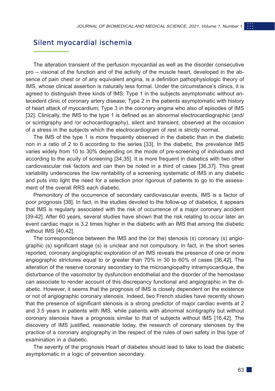# Silent myocardial ischemia

The alteration transient of the perfusion myocardial as well as the disorder consecutive pro – visional of the function and of the activity of the muscle heart, developed in the absence of pain chest or of any equivalent angina, is a definition pathophysiologic theory of IMS, whose clinical assertion is naturally less formal. Under the circumstance's clinics, it is agreed to distinguish three kinds of IMS: Type 1 in the subjects asymptomatic without antecedent clinic of coronary artery disease; Type 2 in the patients asymptomatic with history of heart attack of myocardium; Type 3 in the coronary angina who also of episodes of IMS [32]. Clinically, the IMS to the type 1 is defined as an abnormal electrocardiographic (and/ or scintigraphy and /or echocardiography), silent and transient, observed at the occasion of a stress in the subjects which the electrocardiogram of rest is strictly normal.

The IMS of the type 1 is more frequently observed in the diabetic than in the diabetic non in a ratio of 2 to 6 according to the series [33]. In the diabetic, the prevalence IMS varies widely from 10 to 30% depending on the mode of pre-screening of individuals and according to the acuity of screening [34,35]. It is more frequent in diabetics with two other cardiovascular risk factors and can then be noted in a third of cases [36,37]. This great variability underscores the low rentability of a screening systematic of IMS in any diabetic and puts into light the need for a selection prior rigorous of patients to go to the assessment of the overall RRS each diabetic.

Premonitory of the occurrence of secondary cardiovascular events, IMS is a factor of poor prognosis [38]. In fact, in the studies devoted to the follow-up of diabetics, it appears that IMS is regularly associated with the risk of occurrence of a major coronary accident [39-42]. After 60 years, several studies have shown that the risk relating to occur later an event cardiac major is 3.2 times higher in the diabetic with an IMS that among the diabetic without IMS [40,42].

The correspondence between the IMS and the (or the) stenosis (s) coronary (s) angiographic (s) significant stage (s) is unclear and not compulsory. In fact, in the short series reported, coronary angiographic exploration of an IMS reveals the presence of one or more angiographic strictures equal to or greater than 70% in 30 to 60% of cases [36,42]. The alteration of the reserve coronary secondary to the microangiopathy intramyocardique, the disturbance of the vasomotor by dysfunction endothelial and the disorder of the hemostase can associate to render account of this discrepancy functional and angiographic in the diabetic. However, it seems that the prognosis of IMS is closely dependent on the existence or not of angiographic coronary stenosis. Indeed, two French studies have recently shown that the presence of significant stenosis is a strong predictor of major cardiac events at 2 and 3.5 years in patients with IMS, while patients with abnormal scintigraphy but without coronary stenosis have a prognosis similar to that of subjects without IMS [16,42]. The discovery of IMS justified, reasonable today, the research of coronary stenoses by the practice of a coronary angiography in the respect of the rules of own safety in this type of examination in a diabetic.

The severity of the prognosis Heart of diabetes should lead to take to load the diabetic asymptomatic in a logic of prevention secondary.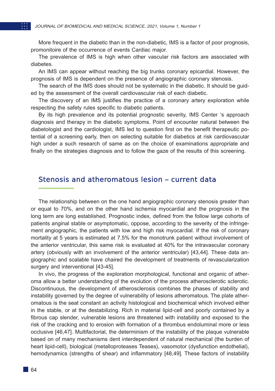More frequent in the diabetic than in the non-diabetic, IMS is a factor of poor prognosis, promonitoire of the occurrence of events Cardiac major.

The prevalence of IMS is high when other vascular risk factors are associated with diabetes.

An IMS can appear without reaching the big trunks coronary epicardial. However, the prognosis of IMS is dependent on the presence of angiographic coronary stenosis.

The search of the IMS does should not be systematic in the diabetic. It should be guided by the assessment of the overall cardiovascular risk of each diabetic.

The discovery of an IMS justifies the practice of a coronary artery exploration while respecting the safety rules specific to diabetic patients.

By its high prevalence and its potential prognostic severity, IMS Center 's approach diagnosis and therapy in the diabetic symptoms. Point of encounter natural between the diabetologist and the cardiologist, IMS led to question first on the benefit therapeutic potential of a screening early, then on selecting suitable for diabetics at risk cardiovascular high under a such research of same as on the choice of examinations appropriate and finally on the strategies diagnosis and to follow the gaze of the results of this screening.

# Stenosis and atheromatous lesion – current data

The relationship between on the one hand angiographic coronary stenosis greater than or equal to 70%, and on the other hand ischemia myocardial and the prognosis in the long term are long established. Prognostic index, defined from the follow large cohorts of patients anginal stable or asymptomatic, oppose, according to the severity of the infringement angiographic, the patients with low and high risk myocardial. If the risk of coronary mortality at 5 years is estimated at 7.5% for the monotrunk patient without involvement of the anterior ventricular, this same risk is evaluated at 40% for the intravascular coronary artery (obviously with an involvement of the anterior ventricular) [43,44]. These data angiographic and scalable have chaired the development of treatments of revascularization surgery and interventional [43-45].

In vivo, the progress of the exploration morphological, functional and organic of atheroma allow a better understanding of the evolution of the process atherosclerotic sclerotic. Discontinuous, the development of atherosclerosis combines the phases of stability and instability governed by the degree of vulnerability of lesions atheromatous. The plate atheromatous is the seat constant an activity histological and biochemical which involved either in the stable, or at the destabilizing. Rich in material lipid-cell and poorly contained by a fibrous cap slender, vulnerable lesions are threatened with instability and exposed to the risk of the cracking and to erosion with formation of a thrombus endoluminal more or less occlusive [46,47]. Multifactorial, the determinism of the instability of the plaque vulnerable based on of many mechanisms dent interdependent of natural mechanical (the burden of heart lipid-cell), biological (metalloproteases Teases), vasomotor (dysfunction endothelial), hemodynamics (strengths of shear) and inflammatory [48,49]. These factors of instability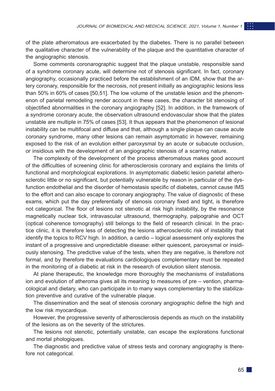of the plate atheromatous are exacerbated by the diabetes. There is no parallel between the qualitative character of the vulnerability of the plaque and the quantitative character of the angiographic stenosis.

Some comments coronarographic suggest that the plaque unstable, responsible sand of a syndrome coronary acute, will determine not of stenosis significant. In fact, coronary angiography, occasionally practiced before the establishment of an IDM, show that the artery coronary, responsible for the necrosis, not present initially as angiographic lesions less than 50% in 60% of cases [50,51]. The low volume of the unstable lesion and the phenomenon of parietal remodeling render account in these cases, the character bit stenosing of objectified abnormalities in the coronary angiography [52]. In addition, in the framework of a syndrome coronary acute, the observation ultrasound endovascular show that the plates unstable are multiple in 75% of cases [53]. It thus appears that the phenomenon of lesional instability can be multifocal and diffuse and that, although a single plaque can cause acute coronary syndrome, many other lesions can remain asymptomatic in however, remaining exposed to the risk of an evolution either paroxysmal by an acute or subacute occlusion, or insidious with the development of an angiographic stenosis of a scarring nature.

The complexity of the development of the process atheromatous makes good account of the difficulties of screening clinic for atherosclerosis coronary and explains the limits of functional and morphological explorations. In asymptomatic diabetic lesion parietal atherosclerotic little or no significant, but potentially vulnerable by reason in particular of the dysfunction endothelial and the disorder of hemostasis specific of diabetes, cannot cause IMS to the effort and can also escape to coronary angiography. The value of diagnostic of these exams, which put the day preferentially of stenosis coronary fixed and tight, is therefore not categorical. The floor of lesions not stenotic at risk high instability, by the resonance magnetically nuclear tick, intravascular ultrasound, thermography, palpograhie and OCT (optical coherence tomography) still belongs to the field of research clinical. In the practice clinic, it is therefore less of detecting the lesions atherosclerotic risk of instability that identify the topics to RCV high. In addition, a cardio – logical assessment only explores the instant of a progressive and unpredictable disease: either quiescent, paroxysmal or insidiously stenosing. The predictive value of the tests, when they are negative, is therefore not formal, and by therefore the evaluations cardiologiques complementary must be repeated in the monitoring of a diabetic at risk in the research of evolution silent stenosis.

At plane therapeutic, the knowledge more thoroughly the mechanisms of installations ion and evolution of atheroma gives all its meaning to measures of pre – vention, pharmacological and dietary, who can participate in to many ways complementary to the stabilization preventive and curative of the vulnerable plaque.

The dissemination and the seat of stenosis coronary angiographic define the high and the low risk myocardique.

However, the progressive severity of atherosclerosis depends as much on the instability of the lesions as on the severity of the strictures.

The lesions not stenotic, potentially unstable, can escape the explorations functional and mortal phologiques.

The diagnostic and predictive value of stress tests and coronary angiography is therefore not categorical.

33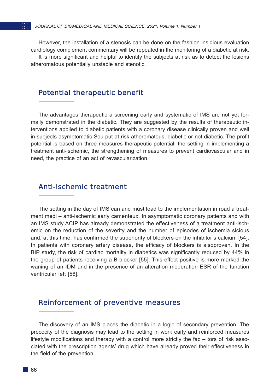However, the installation of a stenosis can be done on the fashion insidious evaluation cardiology complement commentary will be repeated in the monitoring of a diabetic at risk. It is more significant and helpful to identify the subjects at risk as to detect the lesions atheromatous potentially unstable and stenotic.

## Potential therapeutic benefit

The advantages therapeutic a screening early and systematic of IMS are not yet formally demonstrated in the diabetic. They are suggested by the results of therapeutic interventions applied to diabetic patients with a coronary disease clinically proven and well in subjects asymptomatic Sou put at risk atheromatous, diabetic or not diabetic. The profit potential is based on three measures therapeutic potential: the setting in implementing a treatment anti-ischemic, the strengthening of measures to prevent cardiovascular and in need, the practice of an act of revascularization.

## Anti-ischemic treatment

The setting in the day of IMS can and must lead to the implementation in road a treatment medi – anti-ischemic early camenteux. In asymptomatic coronary patients and with an IMS study ACIP has already demonstrated the effectiveness of a treatment anti-ischemic on the reduction of the severity and the number of episodes of ischemia sicious and, at this time, has confirmed the superiority of blockers on the inhibitor's calcium [54]. In patients with coronary artery disease, the efficacy of blockers is alsoproven. In the BIP study, the risk of cardiac mortality in diabetics was significantly reduced by 44% in the group of patients receiving a B-blocker [55]. This effect positive is more marked the waning of an IDM and in the presence of an alteration moderation ESR of the function ventricular left [56].

## Reinforcement of preventive measures

The discovery of an IMS places the diabetic in a logic of secondary prevention. The precocity of the diagnosis may lead to the setting in work early and reinforced measures lifestyle modifications and therapy with a control more strictly the fac – tors of risk associated with the prescription agents' drug which have already proved their effectiveness in the field of the prevention.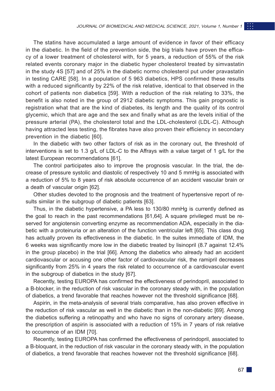The statins have accumulated a large amount of evidence in favor of their efficacy in the diabetic. In the field of the prevention side, the big trials have proven the efficacy of a lower treatment of cholesterol with, for 5 years, a reduction of 55% of the risk related events coronary major in the diabetic hyper cholesterol treated by simvastatin in the study 4S [57] and of 25% in the diabetic normo cholesterol put under pravastatin in testing CARE [58]. In a population of 5 963 diabetics, HPS confirmed these results with a reduced significantly by 22% of the risk relative, identical to that observed in the cohort of patients non diabetics [59]. With a reduction of the risk relating to 33%, the benefit is also noted in the group of 2912 diabetic symptoms. This gain prognostic is registration what that are the kind of diabetes, its length and the quality of its control glycemic, which that are age and the sex and finally what as are the levels initial of the pressure arterial (PA), the cholesterol total and the LDL-cholesterol (LDL-C). Although having attracted less testing, the fibrates have also proven their efficiency in secondary prevention in the diabetic [60].

In the diabetic with two other factors of risk as in the coronary out, the threshold of interventions is set to 1.3 g/L of LDL-C to the Affrays with a value target of 1 g/L for the latest European recommendations [61].

The control participates also to improve the prognosis vascular. In the trial, the decrease of pressure systolic and diastolic of respectively 10 and 5 mmHg is associated with a reduction of 5% to 8 years of risk absolute occurrence of an accident vascular brain or a death of vascular origin [62].

Other studies devoted to the prognosis and the treatment of hypertensive report of results similar in the subgroup of diabetic patients [63].

Thus, in the diabetic hypertensive, a PA less to 130/80 mmHg is currently defined as the goal to reach in the past recommendations [61,64]. A square privileged must be reserved for angiotensin converting enzyme as recommendation ADA, especially in the diabetic with a proteinuria or an alteration of the function ventricular left [65]. This class drug has actually proven its effectiveness in the diabetic. In the suites immediate of IDM, the 6 weeks was significantly more low in the diabetic treated by lisinopril (8.7 against 12.4% in the group placebo) in the trial [66]. Among the diabetics who already had an accident cardiovascular or accusing one other factor of cardiovascular risk, the ramipril decreases significantly from 25% in 4 years the risk related to occurrence of a cardiovascular event in the subgroup of diabetics in the study [67].

Recently, testing EUROPA has confirmed the effectiveness of perindopril, associated to a B-blocker, in the reduction of risk vascular in the coronary steady with, in the population of diabetics, a trend favorable that reaches however not the threshold significance [68].

Aspirin, in the meta-analysis of several trials comparative, has also proven effective in the reduction of risk vascular as well in the diabetic than in the non-diabetic [69]. Among the diabetics suffering a retinopathy and who have no signs of coronary artery disease, the prescription of aspirin is associated with a reduction of 15% in 7 years of risk relative to occurrence of an IDM [70].

Recently, testing EUROPA has confirmed the effectiveness of perindopril, associated to a B-bloquant, in the reduction of risk vascular in the coronary steady with, in the population of diabetics, a trend favorable that reaches however not the threshold significance [68].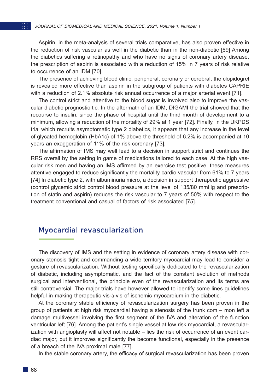Aspirin, in the meta-analysis of several trials comparative, has also proven effective in the reduction of risk vascular as well in the diabetic than in the non-diabetic [69] Among the diabetics suffering a retinopathy and who have no signs of coronary artery disease, the prescription of aspirin is associated with a reduction of 15% in 7 years of risk relative to occurrence of an IDM [70].

The presence of achieving blood clinic, peripheral, coronary or cerebral, the clopidogrel is revealed more effective than aspirin in the subgroup of patients with diabetes CAPRIE with a reduction of 2.1% absolute risk annual occurrence of a major arterial event [71].

The control strict and attentive to the blood sugar is involved also to improve the vascular diabetic prognostic tic. In the aftermath of an IDM, DIGAMI the trial showed that the recourse to insulin, since the phase of hospital until the third month of development to a minimum, allowing a reduction of the mortality of 29% at 1 year [72]. Finally, in the UKPDS trial which recruits asymptomatic type 2 diabetics, it appears that any increase in the level of glycated hemoglobin (HbA1c) of 1% above the threshold of 6.2% is accompanied at 10 years an exaggeration of 11% of the risk coronary [73].

The affirmation of IMS may well lead to a decision in support strict and continues the RRS overall by the setting in game of medications tailored to each case. At the high vascular risk men and having an IMS affirmed by an exercise test positive, these measures attentive engaged to reduce significantly the mortality cardio vascular from 61% to 7 years [74] In diabetic type 2, with albuminuria micro, a decision in support therapeutic aggressive (control glycemic strict control blood pressure at the level of 135/80 mmHg and prescription of statin and aspirin) reduces the risk vascular to 7 years of 50% with respect to the treatment conventional and casual of factors of risk associated [75].

## **Myocardial revascularization**

The discovery of IMS and the setting in evidence of coronary artery disease with coronary stenosis tight and commanding a wide territory myocardial may lead to consider a gesture of revascularization. Without testing specifically dedicated to the revascularization of diabetic, including asymptomatic, and the fact of the constant evolution of methods surgical and interventional, the principle even of the revascularization and its terms are still controversial. The major trials have however allowed to identify some lines guidelines helpful in making therapeutic vis-à-vis of ischemic myocardium in the diabetic.

At the coronary stable efficiency of revascularization surgery has been proven in the group of patients at high risk myocardial having a stenosis of the trunk com – mon left a damage multivessel involving the first segment of the IVA and alteration of the function ventricular left [76]. Among the patient's single vessel at low risk myocardial, a revascularization with angioplasty will affect not notable – lies the risk of occurrence of an event cardiac major, but it improves significantly the become functional, especially in the presence of a breach of the IVA proximal male [77].

In the stable coronary artery, the efficacy of surgical revascularization has been proven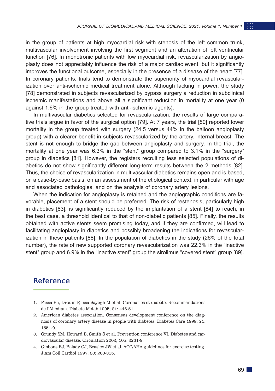in the group of patients at high myocardial risk with stenosis of the left common trunk, multivascular involvement involving the first segment and an alteration of left ventricular function [76]. In monotronic patients with low myocardial risk, revascularization by angioplasty does not appreciably influence the risk of a major cardiac event, but it significantly improves the functional outcome, especially in the presence of a disease of the heart [77]. In coronary patients, trials tend to demonstrate the superiority of myocardial revascularization over anti-ischemic medical treatment alone. Although lacking in power, the study [78] demonstrated in subjects revascularized by bypass surgery a reduction in subclinical ischemic manifestations and above all a significant reduction in mortality at one year (0 against 1.6% in the group treated with anti-ischemic agents).

In multivascular diabetics selected for revascularization, the results of large comparative trials argue in favor of the surgical option [79]. At 7 years, the trial [80] reported lower mortality in the group treated with surgery (24.5 versus 44% in the balloon angioplasty group) with a clearer benefit in subjects revascularized by the artery. internal breast. The stent is not enough to bridge the gap between angioplasty and surgery. In the trial, the mortality at one year was 6.3% in the "stent" group compared to 3.1% in the "surgery" group in diabetics [81]. However, the registers recruiting less selected populations of diabetics do not show significantly different long-term results between the 2 methods [82]. Thus, the choice of revascularization in multivascular diabetics remains open and is based, on a case-by-case basis, on an assessment of the etiological context, in particular with age and associated pathologies, and on the analysis of coronary artery lesions.

When the indication for angioplasty is retained and the angiographic conditions are favorable, placement of a stent should be preferred. The risk of restenosis, particularly high in diabetics [83], is significantly reduced by the implantation of a stent [84] to reach, in the best case, a threshold identical to that of non-diabetic patients [85]. Finally, the results obtained with active stents seem promising today, and if they are confirmed, will lead to facilitating angioplasty in diabetics and possibly broadening the indications for revascularization in these patients [88]. In the population of diabetics in the study (26% of the total number), the rate of new supported coronary revascularization was 22.3% in the "inactive stent" group and 6.9% in the "inactive stent" group the sirolimus "covered stent" group [89].

## Reference

- 1. Passa Ph, Drouin P, Issa-Sayegh M et al. Coronaries et diabète. Recommandations de l'Alfédiam. Diabete Metab 1995; 21: 446-51.
- 2. American diabetes association. Consensus development conference on the diagnosis of coronary artery disease in people with diabetes. Diabetes Care 1998; 21: 1551-9.
- 3. Grundy SM, Howard B, Smith S et al. Prevention conference VI. Diabetes and cardiovascular disease. Circulation 2002; 105: 2231-9.
- 4. Gibbons RJ, Balady GJ, Beasley JW et al. ACC/AHA guidelines for exercise testing. J Am Coll Cardiol 1997; 30: 260-315.

33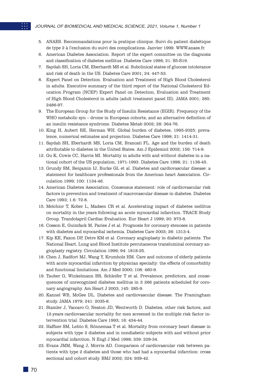- 5. ANAES. Recommandations pour la pratique clinique. Suivi du patient diabétique de type 2 à l'exclusion du suivi des complications. Janvier 1999. WWW.anaes.fr.
- 6. American Diabetes Association. Report of the expert committee on the diagnosis and classification of diabetes mellitus. Diabetes Care 1998; 21: S5-S19.
- 7. Saydah SH, Loria CM, Eberhardt MS et al. Subclinical states of glucose intolerance and risk of death in the US. Diabetes Care 2001; 24: 447-53.
- 8. Expert Panel on Detection. Evaluation and Treatment of High Blood Cholesterol in adults. Executive summary of the third report of the National Cholesterol Education Program (NCEP) Expert Panel on Detection, Evaluation and Treatment of High Blood Cholesterol in adults (adult treatment panel III). JAMA 2001; 285: 2486-97.
- 9. The European Group for the Study of Insulin Resistance (EGIR). Frequency of the WHO metabolic syn – drome in European cohorts, and an alternative definition of an insulin resistance syndrome. Diabetes Metab 2002; 28: 364-76.
- 10. King H, Aubert RE, Herman WH. Global burden of diabetes, 1995-2025: prevalence, numerical estimates and projection. Diabetes Care 1998; 21: 1414-31.
- 11. Saydah SH, Eberhardt MS, Loria CM, Brancati FL. Age and the burden of death attributable to diabetes in the United States. Am J Epidemiol 2002; 156: 714-9.
- 12. Gu K, Cowie CC, Harris MI. Mortality in adults with and without diabetes in a national cohort of the US population, 1971-1993. Diabetes Care 1998; 21: 1138-45.
- 13. Grundy SM, Benjamin IJ, Burke GL et al. Diabetes and cardiovascular disease: a statement for healthcare professionals from the American heart Association. Circulation 1999; 100: 1134-46.
- 14. American Diabetes Association. Consensus statement: role of cardiovascular risk factors in prevention and treatment of macrovascular disease in diabetes. Diabetes Care 1993; 1.6: 72-8.
- 15. Melchior T, Kober L, Madsen CR et al. Accelerating impact of diabetes mellitus on mortality in the years following an acute myocardial infarction. TRACE Study Group. Trandolapril Cardiac Evaluation. Eur Heart J 1999; 20: 973-8.
- 16. Cosson E, Guimfack M, Paries J et al. Prognosis for coronary stenoses in patients with diabetes and myocardial ischemia. Diabetes Care 2003; 26: 1313-4.
- 17. Kip KE, Faxon DP, Detre KM et al. Coronary angioplasty in diabetic patients. The National Heart, Lung and Blood Institute percutaneous transluminal coronary angioplasty registry. Circulation 1996; 94: 1818-25.
- 18. Chen J, Radfort MJ, Wang Y, Krumholz HM. Care and outcome of elderly patients with acute myocardial infarction by physician specialty: the effects of comorbidity and functional limitations. Am J Med 2000; 108: 460-9.
- 19. Tauber G, Winkelmann BR, Schleifer T et al. Prevalence, predictors, and consequences of unrecognized diabetes mellitus in 3 266 patients scheduled for coronary angiography. Am Heart J 2003; 145: 285-9.
- 20. Kannel WB, McGee DL. Diabetes and cardiovascular disease. The Framingham study. JAMA 1979; 241: 2035-8.
- 21. Stamler J, Vaccaro O, Neaton JD, Wentworth D. Diabetes, other risk factors, and 12-years cardiovascular mortality for men screened in the multiple risk factor intervention trial. Diabetes Care 1993; 16: 434-44.
- 22. Haffner SM, Lehto S, Rönnemaa T et al. Mortality from coronary heart disease in subjects with type 2 diabetes and in nondiabetic subjects with and without prior myocardial infarction. N Engl J Med 1998; 339: 229-34.
- 23. Evans JMM, Wang J, Morris AD. Comparison of cardiovascular risk between patients with type 2 diabetes and those who had had a myocardial infarction: cross sectional and cohort study. BMJ 2002; 324: 939-42.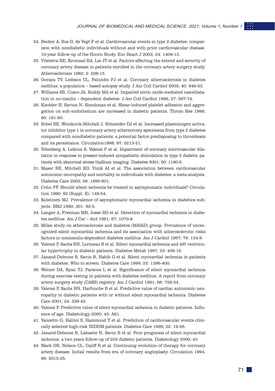- 24. Becker A, Bos G, de Vegt F et al. Cardiovascular events in type 2 diabetes: comparison with nondiabetic individuals without and with prior cardiovascular disease. 10-year follow-up of the Hoorn Study. Eur Heart J 2003; 24: 1406-13.
- 25. Vlietstra RE, Kronmal RA, Lie JT et al. Factors affecting the extend and severity of coronary artery disease in patients enrolled in the coronary artery surgery study. Atherosclerosis 1982; 2: 208-15.
- 26. Goraya TY, Leibson CL, Palumbo PJ et al. Coronary atherosclerosis in diabetes mellitus: a population – based autopsy study. J Am Coll Cardiol 2002; 40: 946-53.
- 27. Williams SB, Cusco JA, Roddy MA et al. Impaired nitric oxide-mediated vasodilatation in no-insulin – dependent diabetes. J Am Coll Cardiol 1996; 27: 567-74.
- 28. Knobler H, Savion N, Shenkman et al. Shear-induced platelet adhesion and aggregation on sub endothelium are increased in diabetic patients. Throm Res 1998; 90: 181-90.
- 29. Sobel BE, Woodcock-Mitchell J, Schneider DJ et al. Increased plasminogen activator inhibitor type 1 in coronary artery atherectomy specimens from type 2 diabetes compared with nondiabetic patients: a potential factor predisposing to thrombosis and its persistance. Circulation1998; 97: 2213-21.
- 30. Nitenberg A, Ledoux S, Valensi P et al. Impairment of coronary microvascular dilatation in response to pressor-induced sympathetic stimulation in type 2 diabetic patients with abnormal stress thallium imaging. Diabetes 2001; 50: 1180-5.
- 31. Maser RE, Mitchell BD, Vinik AI et al. The association between cardiovascular autonomic neuropathy and mortality in individuals with diabetes: a meta-analysis. Diabetes Care 2003; 26: 1895-901.
- 32. Cohn PF. Should silent ischemia be treated in asymptomatic individuals? Circulation 1990; 82 (Suppl. II): 149-54.
- 33. Koïstinen MJ. Prevalence of asymptomatic myocardial ischemia in diabetics subjects. BMJ 1990; 301: 92-5.
- 34. Langer A, Freeman MR, Josse RG et al. Detection of myocardial ischemia in diabetes mellitus. Am J Car – diol 1991; 67: 1073-8.
- 35. Milan study on atherosclerosis and diabetes (MiSAD) group. Prevalence of unrecognized silent myocardial ischemia and its association with atherosclerotic risks factors in noninsulin-dependent diabetes mellitus. Am J Cardiol 1997; 79: 134-9.
- 36. Valensi P, Sachs RN, Lormeau B et al. Silent myocardial ischemia and left ventricular hypertrophy in diabetic patients. Diabetes Metab 1997; 23: 409-16.
- 37. Janand-Delenne B, Savin B, Habib G et al. Silent myocardial ischemia in patients with diabetes. Who to screen. Diabetes Care 1999; 22: 1396-400.
- 38. Weiner DA, Ryan TJ, Parsons L et al. Significance of silent myocardial ischemia during exercise testing in patients with diabetes mellitus. A report from coronary artery surgery study (CASS) registry. Am J Cardiol 1991; 68: 729-34.
- 39. Valensi P, Sachs RN, Harfouche B et al. Predictive value of cardiac autonomic neuropathy in diabetic patients with or without silent myocardial ischemia. Diabetes Care 2001; 24: 339-43.
- 40. Valensi P. Predictive value of silent myocardial ischemia in diabetic patients. Influence of age. Diabetology 2000; 43: A61.
- 41. Vanzetto G, Halimi S, Hammoud T et al. Prediction of cardiovascular events clinically selected high-risk NIDDM patients. Diabetes Care 1999; 22: 19-26.
- 42. Janand-Delenne B, Labastie N, Savin B et al. Poor prognosis of silent myocardial ischemia: a two years follow-up of 203 diabetic patients. Diabetology 2000; 43
- 43. Mark DB, Nelson CL, Califf R et al. Continuing evolution of therapy for coronary artery disease. Initial results from era of coronary angioplasty. Circulation 1994; 89: 2015-25.

 $\dddot{\mathbf{z}}$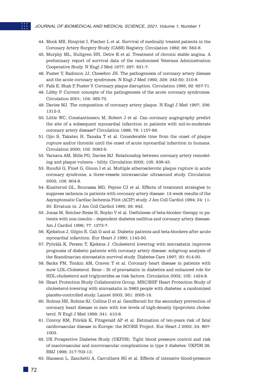- 44. Mock MB, Rinqvist I, Fischer L et al. Survival of medically treated patients in the Coronary Artery Surgery Study (CASS) Registry. Circulation 1982; 66: 562-8.
- 45. Murphy ML, Hultgren HN, Detre K et al. Treatment of chronic stable angina. A preliminary report of survival data of the randomized Veterans Administration Cooperative Study. N Engl J Med 1977; 297: 621-7.
- 46. Fuster V, Badimon JJ, Chesebro JH. The pathogenesis of coronary artery disease and the acute coronary syndromes. N Engl J Med 1992; 326: 242-50; 310-8.
- 47. Falk E, Shah P, Fuster V. Coronary plaque disruption. Circulation 1995; 92: 657-71.
- 48. Libby P. Current concepts of the pathogenesis of the acute coronary syndromes. Circulation 2001; 104: 365-72.
- 49. Davies MJ. The composition of coronary artery plaque. N Engl J Med 1997; 336: 1312-3.
- 50. Little WC, Constantinescu M, Robert J et al. Can coronary angiography predict the site of a subsequent myocardial infarction in patients with mil-to-moderate coronary artery disease? Circulation 1988; 78: 1157-66.
- 51. Ojio S, Takatsu H, Tanaka T et al. Considerable time from the onset of plaque rupture and/or thrombi until the onset of acute myocardial infarction in humans. Circulation 2000; 102: 2063-9.
- 52. Varnava AM, Mills PG, Davies MJ. Relationship between coronary artery remodeling and plaque vulnera – bility. Circulation 2002; 105: 939-43.
- 53. Rioufol G, Finet G, Ginon I et al. Multiple atherosclerotic plaque rupture in acute coronary syndroms; a three-vessels intravascular ultrasound study. Circulation 2002; 106: 804-8.
- 54. Knatterud GL, Bourassa MG, Pepine CJ et al. Effects of treatment strategies to suppress ischemia in patients with coronary artery disease: 12-week results of the Asymptomatic Cardiac Ischemia Pilot (ACIP) study. J Am Coll Cardiol 1994; 24: 11- 20. Erratum in: J Am Coll Cardiol 1995; 26: 842.
- 55. Jonas M, Reicher-Reiss H, Boyko V et al. Usefulness of beta-blocker therapy in patients with non-insulin – dependent diabetes mellitus and coronary artery disease. Am J Cardiol 1996; 77: 1273-7.
- 56. Kjekshus J, Gilpin E, Cali G and al. Diabetic patients and beta-blockers after acute myocardial infarction. Eur Heart J 1990; 1143-50.
- 57. Pyörälä K, Persen T, Kjeksus J. Cholesterol lowering with simvastatin improves prognosis of diabetic patients with coronary artery disease: subgroup analysis of the Scandinavian simvastatin survival study. Diabetes Care 1997; 20: 614-20.
- 58. Sacks FM, Tonkin AM, Craven T et al. Coronary heart disease in patients with mow LDL-Clolesterol. Bene – fi t of pravastatin in diabetics and enhanced role for HDL-cholesterol and triglycerides as risk factors. Circulation 2002; 105: 1424-8.
- 59. Heart Protection Study Collaborative Group. MRC/BHF Heart Protection Study of cholesterol-lowering with simvastatin in 5963 people with diabetes: a randomized placebo-controlled study. Lancet 2003; 361: 2005-16.
- 60. Rubins HB, Robins SJ, Collins D et al. Gemfibrozil for the secondary prevention of coronary heart disease in men with low levels of high-density lipoprotein cholesterol. N Engl J Med 1999; 341: 410-8.
- 61. Conroy RM, Piörälä K, Fitzgerald AP et al. Estimation of ten-years risk of fatal cardiovascular disease in Europe: the SCORE Project. Eur Heart J 2003; 24: 897- 1003.
- 62. UK Prospective Diabetes Study (UKPDS). Tight blood pressure control and risk of macrovascular and microvascular complications in type 2 diabetes: UKPDS 38. BMJ 1998; 317:703-13.
- 63. Hansson L, Zanchetti A, Carruthers SG et al. Effects of intensive blood-pressure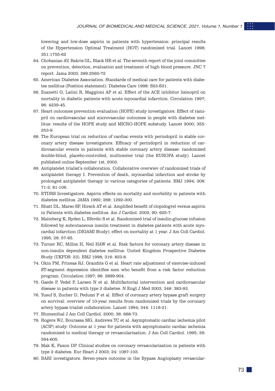lowering and low-dose aspirin in patients with hypertension: principal results of the Hypertension Optimal Treatment (HOT) randomized trial. Lancet 1998; 351:1755-62

- 64. Chobanian AV, Bakris GL, Black HR et al. The seventh report of the joint committee on prevention, detection, evaluation and treatment of high blood pressure. JNC 7 report. Jama 2003; 289:2560-72
- 65. American Diabetes Association. Standards of medical care for patients with diabetes mellitus (Position statement). Diabetes Care 1998: S23-S31.
- 66. Zuanetti G, Latini R, Maggioni AP et al. Effect of the ACE inhibitor lisinopril on mortality in diabetic patients with acute myocardial infarction. Circulation 1997; 96: 4239-45.
- 67. Heart outcomes prevention evaluation (HOPE) study investigators. Effect of ramipril on cardiovascular and microvascular outcomes in people with diabetes mellitus: results of the HOPE study and MICRO-HOPE substudy. Lancet 2000; 355: 253-9.
- 68. The European trial on reduction of cardiac events with perindopril in stable coronary artery disease investigators. Efficacy of perindopril in reduction of cardiovascular events in patients with stable coronary artery disease: randomized double-blind, placebo-controlled, multicenter trial (the EUROPA study). Lancet published online September 1st, 2003.
- 69. Antiplatelet trialist's collaboration. Collaborative overwiev of randomized trials of antiplatelet therapy I. Prevention of death, myocardial infarction and stroke by prolonged antiplatelet therapy in various categories of patients. BMJ 1994; 308: 71-2; 81-106.
- 70. ETDRS Investigators. Aspirin effects on mortality and morbidity in patients with diabetes mellitus. JAMA 1992; 268: 1292-300.
- 71. Bhatt DL, Marso SP, Hirsch AT et al. Amplified benefit of clopidogrel versus aspirin in Patients with diabetes mellitus. Am J Cardiol. 2002; 90: 625-7.
- 72. Malmberg K, Ryden L, Eferdic S et al. Randomized trial of insulin-glucose infusion followed by subcutaneous insulin treatment in diabetes patients with acute myocardial infarction (DIGAMI Study); effect on mortality at 1 year. J Am Coll Cardiol. 1995; 26: 57-65.
- 73. Turner RC, Millns H, Neil HAW et al. Risk factors for coronary artery disease in non-insulin dependent diabetes mellitus: United Kingdom Prospective Diabetes Study (UKPDS: 23). BMJ 1998; 316: 823-8.
- 74. Okin PM, Prineas RJ, Grandits G et al. Heart rate adjustment of exercise-induced ST-segment depression identifies men who benefit from a risk factor reduction program. Circulation 1997; 96: 2899-904.
- 75. Gaede P, Vedel P, Larsen N et al. Multifactorial intervention and cardiovascular disease in patients with type 2 diabetes. N Engl J Med 2003; 348: 383-93.
- 76. Yusuf S, Zucher D, Peduzzi P et al. Effect of coronary artery bypass graft surgery on survival: overview of 10-year results from randomized trials by the coronary artery bypass trialist collaboration. Lancet 1994; 344: 1116-21.
- 77. Blumenthal J Am Coll Cardiol. 2000; 36: 668-73.
- 78. Rogers WJ, Bourassa MG, Andrews TC et al. Asymptomatic cardiac ischemia pilot (ACIP) study: Outcome at 1 year for patients with asymptomatic cardiac ischemia randomized to medical therapy or revascularization. J Am Coll Cardiol. 1995; 26: 594-605.
- 79. Mak K, Faxon DP. Clinical studies on coronary revascularization in patients with type 2 diabetes. Eur Heart J 2003; 24: 1087-103.
- 80. BARI investigators. Seven-years outcome in the Bypass Angioplasty revascular-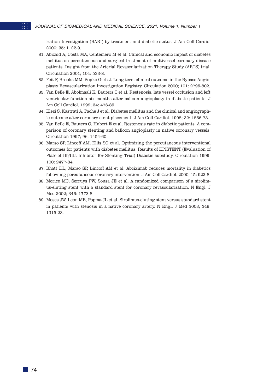ization Investigation (BARI) by treatment and diabetic status. J Am Coll Cardiol 2000; 35: 1122-9.

- 81. Abizaid A, Costa MA, Centemero M et al. Clinical and economic impact of diabetes mellitus on percutaneous and surgical treatment of multivessel coronary disease patients. Insight from the Arterial Revascularization Therapy Study (ARTS) trial. Circulation 2001; 104: 533-8.
- 82. Feit F, Brooks MM, Sopko G et al. Long-term clinical outcome in the Bypass Angioplasty Revascularization Investigation Registry. Circulation 2000; 101: 2795-802.
- 83. Van Belle E, Abolmaali K, Bauters C et al. Restenosis, late vessel occlusion and left ventricular function six months after balloon angioplasty in diabetic patients. J Am Coll Cardiol. 1999; 34: 476-85.
- 84. Elezi S, Kastrati A, Pache J et al. Diabetes mellitus and the clinical and angiographic outcome after coronary stent placement. J Am Coll Cardiol. 1998; 32: 1866-73.
- 85. Van Belle E, Bauters C, Hubert E et al. Restenosis rate in diabetic patients. A comparison of coronary stenting and balloon angioplasty in native coronary vessels. Circulation 1997; 96: 1454-60.
- 86. Marso SP, Lincoff AM, Ellis SG et al. Optimizing the percutaneous interventional outcomes for patients with diabetes mellitus. Results of EPISTENT (Evaluation of Platelet IIb/IIIa Inhibitor for Stenting Trial) Diabetic substudy. Circulation 1999; 100: 2477-84.
- 87. Bhatt DL, Marso SP, Lincoff AM et al. Abciximab reduces mortality in diabetics followimg percutaneous coronary intervention. J Am Coll Cardiol. 2000; 15: 922-8.
- 88. Morice MC, Serruys PW, Sousa JE et al. A randomized comparison of a sirolimus-eluting stent with a standard stent for coronary revascularization. N Engl. J Med 2002; 346: 1773-8.
- 89. Moses JW, Leon MB, Popma JL et al. Sirolimus-eluting stent versus standard stent in patients with stenosis in a native coronary artery. N Engl. J Med 2003; 349: 1315-23.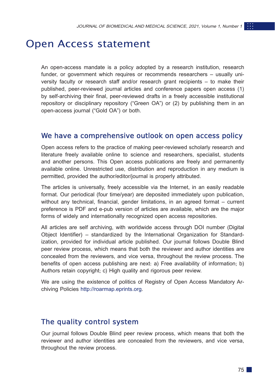## Open Access statement

An open-access mandate is a policy adopted by a research institution, research funder, or government which requires or recommends researchers – usually university faculty or research staff and/or research grant recipients – to make their published, peer-reviewed journal articles and conference papers open access (1) by self-archiving their final, peer-reviewed drafts in a freely accessible institutional repository or disciplinary repository ("Green OA") or (2) by publishing them in an open-access journal ("Gold OA") or both.

## We have a comprehensive outlook on open access policy

Open access refers to the practice of making peer-reviewed scholarly research and literature freely available online to science and researchers, specialist, students and another persons. This Open access publications are freely and permanently available online. Unrestricted use, distribution and reproduction in any medium is permitted, provided the author/editor/journal is properly attributed.

The articles is universally, freely accessible via the Internet, in an easily readable format. Our periodical (four time/year) are deposited immediately upon publication, without any technical, financial, gender limitations, in an agreed format – current preference is PDF and e-pub version of articles are available, which are the major forms of widely and internationally recognized open access repositories.

All articles are self archiving, with worldwide access through DOI number (Digital Object Identifier) – standardized by the International Organization for Standardization, provided for individual article published. Our journal follows Double Blind peer review process, which means that both the reviewer and author identities are concealed from the reviewers, and vice versa, throughout the review process. The benefits of open access publishing are next: a) Free availability of information; b) Authors retain copyright; c) High quality and rigorous peer review.

We are using the existence of politics of Registry of Open Access Mandatory Archiving Policies http://roarmap.eprints.org.

## The quality control system

Our journal follows Double Blind peer review process, which means that both the reviewer and author identities are concealed from the reviewers, and vice versa, throughout the review process.